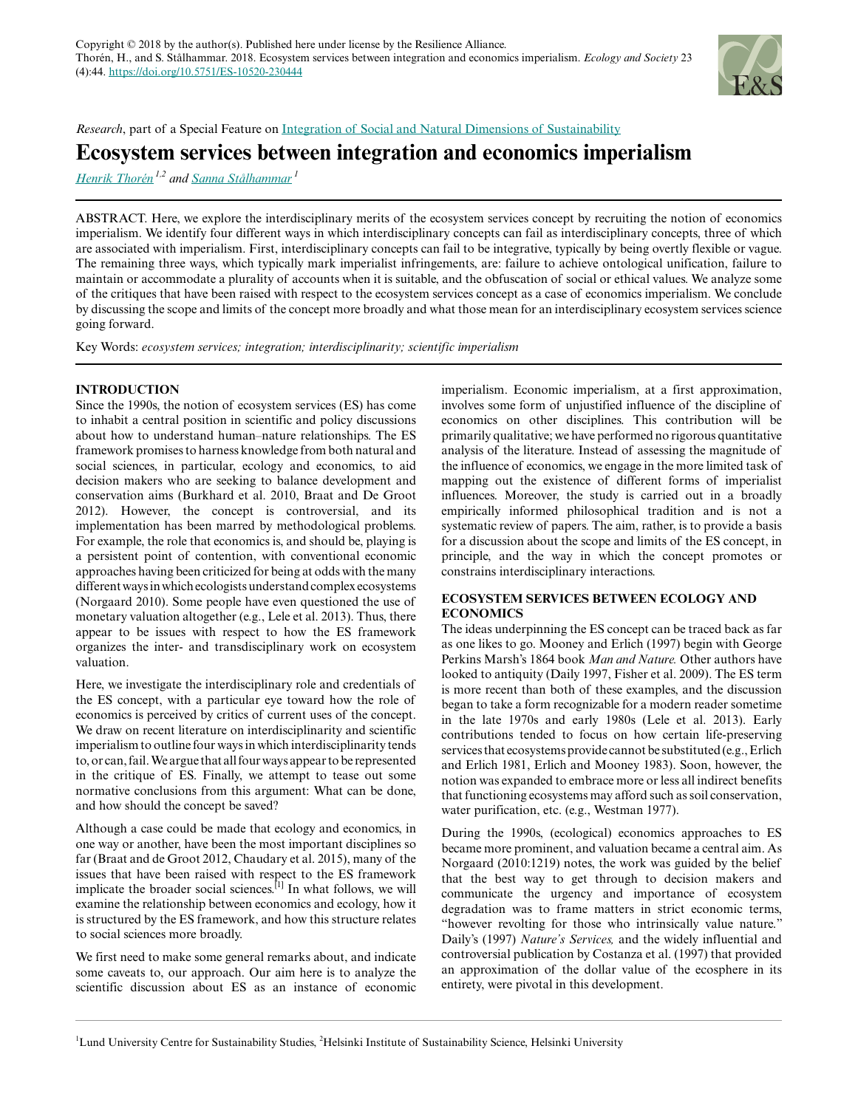

*Research*, part of a Special Feature on [Integration of Social and Natural Dimensions of Sustainability](https://www.ecologyandsociety.org/viewissue.php?sf=135)

# **Ecosystem services between integration and economics imperialism**

*[Henrik Thorén](mailto:henrik.thoren@helsinki.fi) 1,2 and [Sanna Stålhammar](mailto:sanna.stalhammar@lucsus.lu.se)<sup>1</sup>*

ABSTRACT. Here, we explore the interdisciplinary merits of the ecosystem services concept by recruiting the notion of economics imperialism. We identify four different ways in which interdisciplinary concepts can fail as interdisciplinary concepts, three of which are associated with imperialism. First, interdisciplinary concepts can fail to be integrative, typically by being overtly flexible or vague. The remaining three ways, which typically mark imperialist infringements, are: failure to achieve ontological unification, failure to maintain or accommodate a plurality of accounts when it is suitable, and the obfuscation of social or ethical values. We analyze some of the critiques that have been raised with respect to the ecosystem services concept as a case of economics imperialism. We conclude by discussing the scope and limits of the concept more broadly and what those mean for an interdisciplinary ecosystem services science going forward.

Key Words: *ecosystem services; integration; interdisciplinarity; scientific imperialism*

## **INTRODUCTION**

Since the 1990s, the notion of ecosystem services (ES) has come to inhabit a central position in scientific and policy discussions about how to understand human–nature relationships. The ES framework promises to harness knowledge from both natural and social sciences, in particular, ecology and economics, to aid decision makers who are seeking to balance development and conservation aims (Burkhard et al. 2010, Braat and De Groot 2012). However, the concept is controversial, and its implementation has been marred by methodological problems. For example, the role that economics is, and should be, playing is a persistent point of contention, with conventional economic approaches having been criticized for being at odds with the many different ways in which ecologists understand complex ecosystems (Norgaard 2010). Some people have even questioned the use of monetary valuation altogether (e.g., Lele et al. 2013). Thus, there appear to be issues with respect to how the ES framework organizes the inter- and transdisciplinary work on ecosystem valuation.

Here, we investigate the interdisciplinary role and credentials of the ES concept, with a particular eye toward how the role of economics is perceived by critics of current uses of the concept. We draw on recent literature on interdisciplinarity and scientific imperialism to outline four ways in which interdisciplinarity tends to, or can, fail. We argue that all four ways appear to be represented in the critique of ES. Finally, we attempt to tease out some normative conclusions from this argument: What can be done, and how should the concept be saved?

Although a case could be made that ecology and economics, in one way or another, have been the most important disciplines so far (Braat and de Groot 2012, Chaudary et al. 2015), many of the issues that have been raised with respect to the ES framework implicate the broader social sciences.<sup>[1]</sup> In what follows, we will examine the relationship between economics and ecology, how it is structured by the ES framework, and how this structure relates to social sciences more broadly.

We first need to make some general remarks about, and indicate some caveats to, our approach. Our aim here is to analyze the scientific discussion about ES as an instance of economic imperialism. Economic imperialism, at a first approximation, involves some form of unjustified influence of the discipline of economics on other disciplines. This contribution will be primarily qualitative; we have performed no rigorous quantitative analysis of the literature. Instead of assessing the magnitude of the influence of economics, we engage in the more limited task of mapping out the existence of different forms of imperialist influences. Moreover, the study is carried out in a broadly empirically informed philosophical tradition and is not a systematic review of papers. The aim, rather, is to provide a basis for a discussion about the scope and limits of the ES concept, in principle, and the way in which the concept promotes or constrains interdisciplinary interactions.

## **ECOSYSTEM SERVICES BETWEEN ECOLOGY AND ECONOMICS**

The ideas underpinning the ES concept can be traced back as far as one likes to go. Mooney and Erlich (1997) begin with George Perkins Marsh's 1864 book *Man and Nature.* Other authors have looked to antiquity (Daily 1997, Fisher et al. 2009). The ES term is more recent than both of these examples, and the discussion began to take a form recognizable for a modern reader sometime in the late 1970s and early 1980s (Lele et al. 2013). Early contributions tended to focus on how certain life-preserving services that ecosystems provide cannot be substituted (e.g., Erlich and Erlich 1981, Erlich and Mooney 1983). Soon, however, the notion was expanded to embrace more or less all indirect benefits that functioning ecosystems may afford such as soil conservation, water purification, etc. (e.g., Westman 1977).

During the 1990s, (ecological) economics approaches to ES became more prominent, and valuation became a central aim. As Norgaard (2010:1219) notes, the work was guided by the belief that the best way to get through to decision makers and communicate the urgency and importance of ecosystem degradation was to frame matters in strict economic terms, "however revolting for those who intrinsically value nature." Daily's (1997) *Nature's Services,* and the widely influential and controversial publication by Costanza et al. (1997) that provided an approximation of the dollar value of the ecosphere in its entirety, were pivotal in this development.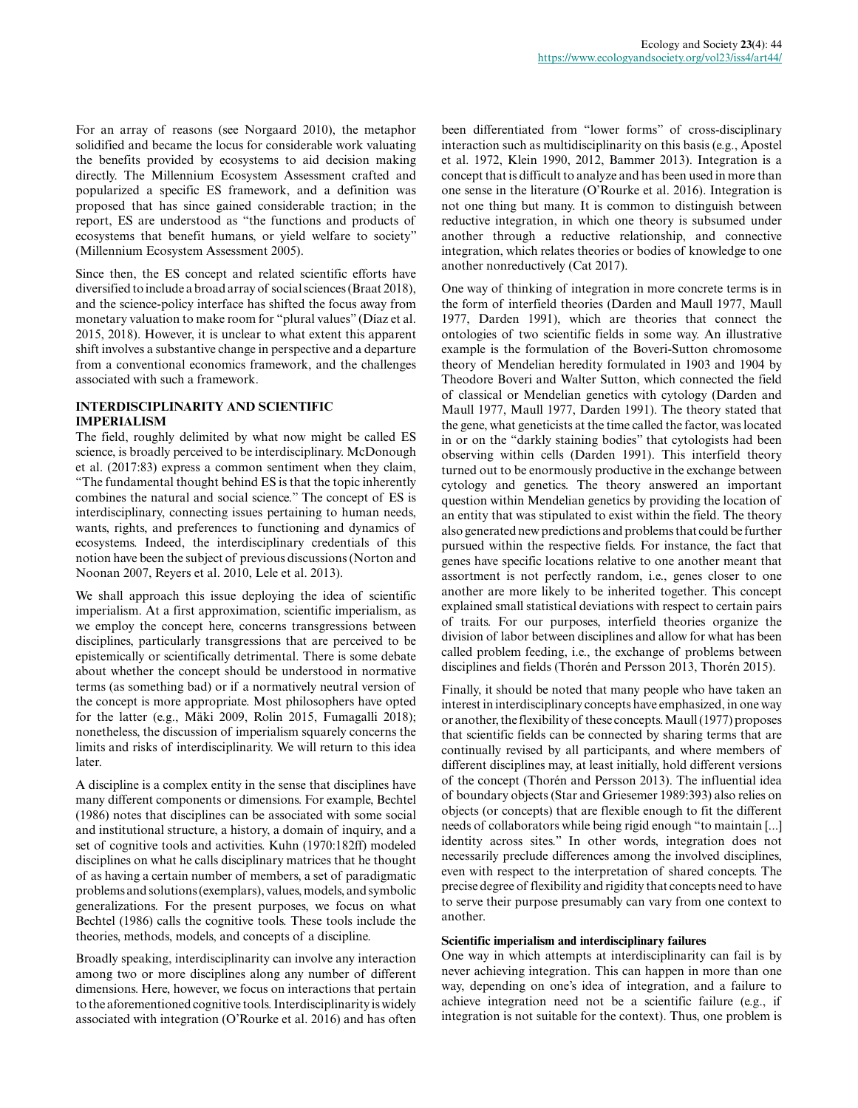For an array of reasons (see Norgaard 2010), the metaphor solidified and became the locus for considerable work valuating the benefits provided by ecosystems to aid decision making directly. The Millennium Ecosystem Assessment crafted and popularized a specific ES framework, and a definition was proposed that has since gained considerable traction; in the report, ES are understood as "the functions and products of ecosystems that benefit humans, or yield welfare to society" (Millennium Ecosystem Assessment 2005).

Since then, the ES concept and related scientific efforts have diversified to include a broad array of social sciences (Braat 2018), and the science-policy interface has shifted the focus away from monetary valuation to make room for "plural values" (Díaz et al. 2015, 2018). However, it is unclear to what extent this apparent shift involves a substantive change in perspective and a departure from a conventional economics framework, and the challenges associated with such a framework.

## **INTERDISCIPLINARITY AND SCIENTIFIC IMPERIALISM**

The field, roughly delimited by what now might be called ES science, is broadly perceived to be interdisciplinary. McDonough et al. (2017:83) express a common sentiment when they claim, "The fundamental thought behind ES is that the topic inherently combines the natural and social science." The concept of ES is interdisciplinary, connecting issues pertaining to human needs, wants, rights, and preferences to functioning and dynamics of ecosystems. Indeed, the interdisciplinary credentials of this notion have been the subject of previous discussions (Norton and Noonan 2007, Reyers et al. 2010, Lele et al. 2013).

We shall approach this issue deploying the idea of scientific imperialism. At a first approximation, scientific imperialism, as we employ the concept here, concerns transgressions between disciplines, particularly transgressions that are perceived to be epistemically or scientifically detrimental. There is some debate about whether the concept should be understood in normative terms (as something bad) or if a normatively neutral version of the concept is more appropriate. Most philosophers have opted for the latter (e.g., Mäki 2009, Rolin 2015, Fumagalli 2018); nonetheless, the discussion of imperialism squarely concerns the limits and risks of interdisciplinarity. We will return to this idea later.

A discipline is a complex entity in the sense that disciplines have many different components or dimensions. For example, Bechtel (1986) notes that disciplines can be associated with some social and institutional structure, a history, a domain of inquiry, and a set of cognitive tools and activities. Kuhn (1970:182ff) modeled disciplines on what he calls disciplinary matrices that he thought of as having a certain number of members, a set of paradigmatic problems and solutions (exemplars), values, models, and symbolic generalizations. For the present purposes, we focus on what Bechtel (1986) calls the cognitive tools. These tools include the theories, methods, models, and concepts of a discipline.

Broadly speaking, interdisciplinarity can involve any interaction among two or more disciplines along any number of different dimensions. Here, however, we focus on interactions that pertain to the aforementioned cognitive tools. Interdisciplinarity is widely associated with integration (O'Rourke et al. 2016) and has often been differentiated from "lower forms" of cross-disciplinary interaction such as multidisciplinarity on this basis (e.g., Apostel et al. 1972, Klein 1990, 2012, Bammer 2013). Integration is a concept that is difficult to analyze and has been used in more than one sense in the literature (O'Rourke et al. 2016). Integration is not one thing but many. It is common to distinguish between reductive integration, in which one theory is subsumed under another through a reductive relationship, and connective integration, which relates theories or bodies of knowledge to one another nonreductively (Cat 2017).

One way of thinking of integration in more concrete terms is in the form of interfield theories (Darden and Maull 1977, Maull 1977, Darden 1991), which are theories that connect the ontologies of two scientific fields in some way. An illustrative example is the formulation of the Boveri-Sutton chromosome theory of Mendelian heredity formulated in 1903 and 1904 by Theodore Boveri and Walter Sutton, which connected the field of classical or Mendelian genetics with cytology (Darden and Maull 1977, Maull 1977, Darden 1991). The theory stated that the gene, what geneticists at the time called the factor, was located in or on the "darkly staining bodies" that cytologists had been observing within cells (Darden 1991). This interfield theory turned out to be enormously productive in the exchange between cytology and genetics. The theory answered an important question within Mendelian genetics by providing the location of an entity that was stipulated to exist within the field. The theory also generated new predictions and problems that could be further pursued within the respective fields. For instance, the fact that genes have specific locations relative to one another meant that assortment is not perfectly random, i.e., genes closer to one another are more likely to be inherited together. This concept explained small statistical deviations with respect to certain pairs of traits. For our purposes, interfield theories organize the division of labor between disciplines and allow for what has been called problem feeding, i.e., the exchange of problems between disciplines and fields (Thorén and Persson 2013, Thorén 2015).

Finally, it should be noted that many people who have taken an interest in interdisciplinary concepts have emphasized, in one way or another, the flexibility of these concepts. Maull (1977) proposes that scientific fields can be connected by sharing terms that are continually revised by all participants, and where members of different disciplines may, at least initially, hold different versions of the concept (Thorén and Persson 2013). The influential idea of boundary objects (Star and Griesemer 1989:393) also relies on objects (or concepts) that are flexible enough to fit the different needs of collaborators while being rigid enough "to maintain [...] identity across sites." In other words, integration does not necessarily preclude differences among the involved disciplines, even with respect to the interpretation of shared concepts. The precise degree of flexibility and rigidity that concepts need to have to serve their purpose presumably can vary from one context to another.

## **Scientific imperialism and interdisciplinary failures**

One way in which attempts at interdisciplinarity can fail is by never achieving integration. This can happen in more than one way, depending on one's idea of integration, and a failure to achieve integration need not be a scientific failure (e.g., if integration is not suitable for the context). Thus, one problem is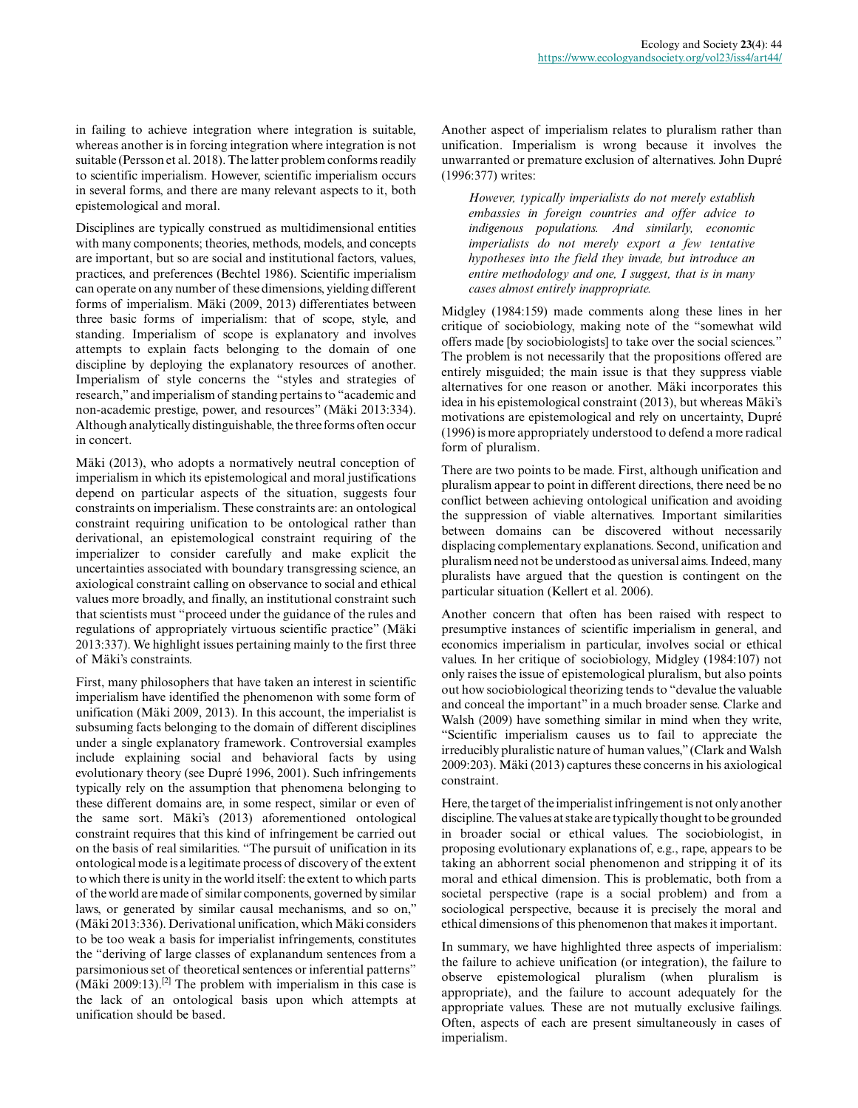in failing to achieve integration where integration is suitable, whereas another is in forcing integration where integration is not suitable (Persson et al. 2018). The latter problem conforms readily to scientific imperialism. However, scientific imperialism occurs in several forms, and there are many relevant aspects to it, both epistemological and moral.

Disciplines are typically construed as multidimensional entities with many components; theories, methods, models, and concepts are important, but so are social and institutional factors, values, practices, and preferences (Bechtel 1986). Scientific imperialism can operate on any number of these dimensions, yielding different forms of imperialism. Mäki (2009, 2013) differentiates between three basic forms of imperialism: that of scope, style, and standing. Imperialism of scope is explanatory and involves attempts to explain facts belonging to the domain of one discipline by deploying the explanatory resources of another. Imperialism of style concerns the "styles and strategies of research," and imperialism of standing pertains to "academic and non-academic prestige, power, and resources" (Mäki 2013:334). Although analytically distinguishable, the three forms often occur in concert.

Mäki (2013), who adopts a normatively neutral conception of imperialism in which its epistemological and moral justifications depend on particular aspects of the situation, suggests four constraints on imperialism. These constraints are: an ontological constraint requiring unification to be ontological rather than derivational, an epistemological constraint requiring of the imperializer to consider carefully and make explicit the uncertainties associated with boundary transgressing science, an axiological constraint calling on observance to social and ethical values more broadly, and finally, an institutional constraint such that scientists must "proceed under the guidance of the rules and regulations of appropriately virtuous scientific practice" (Mäki 2013:337). We highlight issues pertaining mainly to the first three of Mäki's constraints.

First, many philosophers that have taken an interest in scientific imperialism have identified the phenomenon with some form of unification (Mäki 2009, 2013). In this account, the imperialist is subsuming facts belonging to the domain of different disciplines under a single explanatory framework. Controversial examples include explaining social and behavioral facts by using evolutionary theory (see Dupré 1996, 2001). Such infringements typically rely on the assumption that phenomena belonging to these different domains are, in some respect, similar or even of the same sort. Mäki's (2013) aforementioned ontological constraint requires that this kind of infringement be carried out on the basis of real similarities. "The pursuit of unification in its ontological mode is a legitimate process of discovery of the extent to which there is unity in the world itself: the extent to which parts of the world are made of similar components, governed by similar laws, or generated by similar causal mechanisms, and so on," (Mäki 2013:336). Derivational unification, which Mäki considers to be too weak a basis for imperialist infringements, constitutes the "deriving of large classes of explanandum sentences from a parsimonious set of theoretical sentences or inferential patterns" (Mäki 2009:13).<sup>[2]</sup> The problem with imperialism in this case is the lack of an ontological basis upon which attempts at unification should be based.

Another aspect of imperialism relates to pluralism rather than unification. Imperialism is wrong because it involves the unwarranted or premature exclusion of alternatives. John Dupré (1996:377) writes:

*However, typically imperialists do not merely establish embassies in foreign countries and offer advice to indigenous populations. And similarly, economic imperialists do not merely export a few tentative hypotheses into the field they invade, but introduce an entire methodology and one, I suggest, that is in many cases almost entirely inappropriate.*

Midgley (1984:159) made comments along these lines in her critique of sociobiology, making note of the "somewhat wild offers made [by sociobiologists] to take over the social sciences." The problem is not necessarily that the propositions offered are entirely misguided; the main issue is that they suppress viable alternatives for one reason or another. Mäki incorporates this idea in his epistemological constraint (2013), but whereas Mäki's motivations are epistemological and rely on uncertainty, Dupré (1996) is more appropriately understood to defend a more radical form of pluralism.

There are two points to be made. First, although unification and pluralism appear to point in different directions, there need be no conflict between achieving ontological unification and avoiding the suppression of viable alternatives. Important similarities between domains can be discovered without necessarily displacing complementary explanations. Second, unification and pluralism need not be understood as universal aims. Indeed, many pluralists have argued that the question is contingent on the particular situation (Kellert et al. 2006).

Another concern that often has been raised with respect to presumptive instances of scientific imperialism in general, and economics imperialism in particular, involves social or ethical values. In her critique of sociobiology, Midgley (1984:107) not only raises the issue of epistemological pluralism, but also points out how sociobiological theorizing tends to "devalue the valuable and conceal the important" in a much broader sense. Clarke and Walsh (2009) have something similar in mind when they write, "Scientific imperialism causes us to fail to appreciate the irreducibly pluralistic nature of human values," (Clark and Walsh 2009:203). Mäki (2013) captures these concerns in his axiological constraint.

Here, the target of the imperialist infringement is not only another discipline. The values at stake are typically thought to be grounded in broader social or ethical values. The sociobiologist, in proposing evolutionary explanations of, e.g., rape, appears to be taking an abhorrent social phenomenon and stripping it of its moral and ethical dimension. This is problematic, both from a societal perspective (rape is a social problem) and from a sociological perspective, because it is precisely the moral and ethical dimensions of this phenomenon that makes it important.

In summary, we have highlighted three aspects of imperialism: the failure to achieve unification (or integration), the failure to observe epistemological pluralism (when pluralism is appropriate), and the failure to account adequately for the appropriate values. These are not mutually exclusive failings. Often, aspects of each are present simultaneously in cases of imperialism.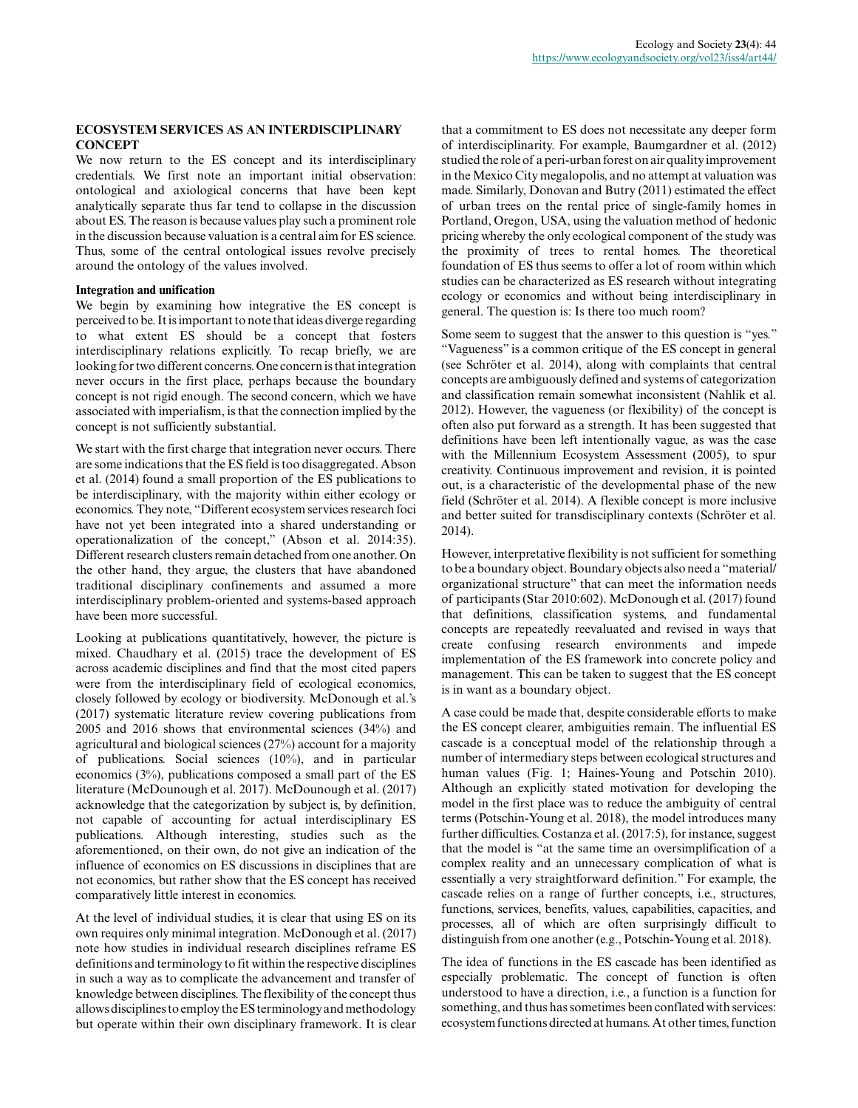## **ECOSYSTEM SERVICES AS AN INTERDISCIPLINARY CONCEPT**

We now return to the ES concept and its interdisciplinary credentials. We first note an important initial observation: ontological and axiological concerns that have been kept analytically separate thus far tend to collapse in the discussion about ES. The reason is because values play such a prominent role in the discussion because valuation is a central aim for ES science. Thus, some of the central ontological issues revolve precisely around the ontology of the values involved.

### **Integration and unification**

We begin by examining how integrative the ES concept is perceived to be. It is important to note that ideas diverge regarding to what extent ES should be a concept that fosters interdisciplinary relations explicitly. To recap briefly, we are looking for two different concerns. One concern is that integration never occurs in the first place, perhaps because the boundary concept is not rigid enough. The second concern, which we have associated with imperialism, is that the connection implied by the concept is not sufficiently substantial.

We start with the first charge that integration never occurs. There are some indications that the ES field is too disaggregated. Abson et al. (2014) found a small proportion of the ES publications to be interdisciplinary, with the majority within either ecology or economics. They note, "Different ecosystem services research foci have not yet been integrated into a shared understanding or operationalization of the concept," (Abson et al. 2014:35). Different research clusters remain detached from one another. On the other hand, they argue, the clusters that have abandoned traditional disciplinary confinements and assumed a more interdisciplinary problem-oriented and systems-based approach have been more successful.

Looking at publications quantitatively, however, the picture is mixed. Chaudhary et al. (2015) trace the development of ES across academic disciplines and find that the most cited papers were from the interdisciplinary field of ecological economics, closely followed by ecology or biodiversity. McDonough et al.'s (2017) systematic literature review covering publications from 2005 and 2016 shows that environmental sciences (34%) and agricultural and biological sciences (27%) account for a majority of publications. Social sciences (10%), and in particular economics (3%), publications composed a small part of the ES literature (McDounough et al. 2017). McDounough et al. (2017) acknowledge that the categorization by subject is, by definition, not capable of accounting for actual interdisciplinary ES publications. Although interesting, studies such as the aforementioned, on their own, do not give an indication of the influence of economics on ES discussions in disciplines that are not economics, but rather show that the ES concept has received comparatively little interest in economics.

At the level of individual studies, it is clear that using ES on its own requires only minimal integration. McDonough et al. (2017) note how studies in individual research disciplines reframe ES definitions and terminology to fit within the respective disciplines in such a way as to complicate the advancement and transfer of knowledge between disciplines. The flexibility of the concept thus allows disciplines to employ the ES terminology and methodology but operate within their own disciplinary framework. It is clear that a commitment to ES does not necessitate any deeper form of interdisciplinarity. For example, Baumgardner et al. (2012) studied the role of a peri-urban forest on air quality improvement in the Mexico City megalopolis, and no attempt at valuation was made. Similarly, Donovan and Butry (2011) estimated the effect of urban trees on the rental price of single-family homes in Portland, Oregon, USA, using the valuation method of hedonic pricing whereby the only ecological component of the study was the proximity of trees to rental homes. The theoretical foundation of ES thus seems to offer a lot of room within which studies can be characterized as ES research without integrating ecology or economics and without being interdisciplinary in general. The question is: Is there too much room?

Some seem to suggest that the answer to this question is "yes." "Vagueness" is a common critique of the ES concept in general (see Schröter et al. 2014), along with complaints that central concepts are ambiguously defined and systems of categorization and classification remain somewhat inconsistent (Nahlik et al. 2012). However, the vagueness (or flexibility) of the concept is often also put forward as a strength. It has been suggested that definitions have been left intentionally vague, as was the case with the Millennium Ecosystem Assessment (2005), to spur creativity. Continuous improvement and revision, it is pointed out, is a characteristic of the developmental phase of the new field (Schröter et al. 2014). A flexible concept is more inclusive and better suited for transdisciplinary contexts (Schröter et al. 2014).

However, interpretative flexibility is not sufficient for something to be a boundary object. Boundary objects also need a "material/ organizational structure" that can meet the information needs of participants (Star 2010:602). McDonough et al. (2017) found that definitions, classification systems, and fundamental concepts are repeatedly reevaluated and revised in ways that create confusing research environments and impede implementation of the ES framework into concrete policy and management. This can be taken to suggest that the ES concept is in want as a boundary object.

A case could be made that, despite considerable efforts to make the ES concept clearer, ambiguities remain. The influential ES cascade is a conceptual model of the relationship through a number of intermediary steps between ecological structures and human values (Fig. 1; Haines-Young and Potschin 2010). Although an explicitly stated motivation for developing the model in the first place was to reduce the ambiguity of central terms (Potschin-Young et al. 2018), the model introduces many further difficulties. Costanza et al. (2017:5), for instance, suggest that the model is "at the same time an oversimplification of a complex reality and an unnecessary complication of what is essentially a very straightforward definition." For example, the cascade relies on a range of further concepts, i.e., structures, functions, services, benefits, values, capabilities, capacities, and processes, all of which are often surprisingly difficult to distinguish from one another (e.g., Potschin-Young et al. 2018).

The idea of functions in the ES cascade has been identified as especially problematic. The concept of function is often understood to have a direction, i.e., a function is a function for something, and thus has sometimes been conflated with services: ecosystem functions directed at humans. At other times, function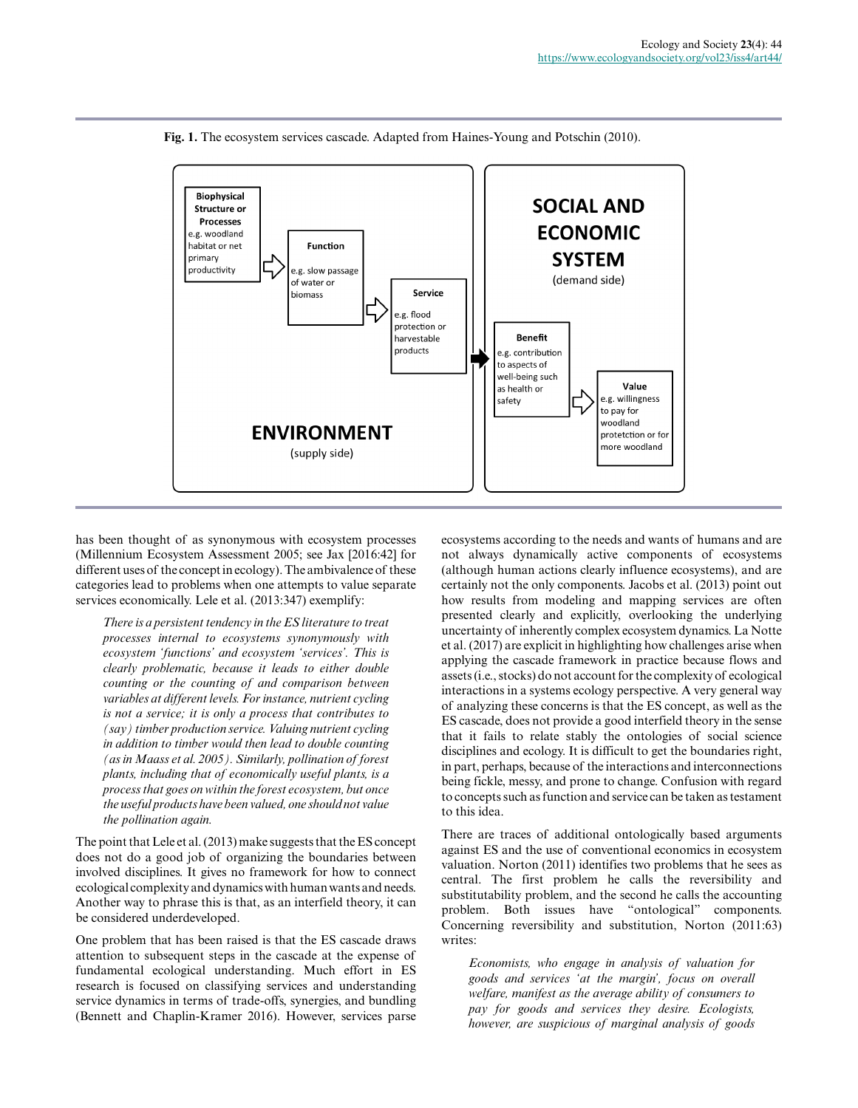

**Fig. 1.** The ecosystem services cascade. Adapted from Haines-Young and Potschin (2010).

has been thought of as synonymous with ecosystem processes (Millennium Ecosystem Assessment 2005; see Jax [2016:42] for different uses of the concept in ecology). The ambivalence of these categories lead to problems when one attempts to value separate services economically. Lele et al. (2013:347) exemplify:

*There is a persistent tendency in the ES literature to treat processes internal to ecosystems synonymously with ecosystem 'functions' and ecosystem 'services'. This is clearly problematic, because it leads to either double counting or the counting of and comparison between variables at different levels. For instance, nutrient cycling is not a service; it is only a process that contributes to (say) timber production service. Valuing nutrient cycling in addition to timber would then lead to double counting (as in Maass et al. 2005). Similarly, pollination of forest plants, including that of economically useful plants, is a process that goes on within the forest ecosystem, but once the useful products have been valued, one should not value the pollination again.*

The point that Lele et al. (2013) make suggests that the ES concept does not do a good job of organizing the boundaries between involved disciplines. It gives no framework for how to connect ecological complexity and dynamics with human wants and needs. Another way to phrase this is that, as an interfield theory, it can be considered underdeveloped.

One problem that has been raised is that the ES cascade draws attention to subsequent steps in the cascade at the expense of fundamental ecological understanding. Much effort in ES research is focused on classifying services and understanding service dynamics in terms of trade-offs, synergies, and bundling (Bennett and Chaplin-Kramer 2016). However, services parse

ecosystems according to the needs and wants of humans and are not always dynamically active components of ecosystems (although human actions clearly influence ecosystems), and are certainly not the only components. Jacobs et al. (2013) point out how results from modeling and mapping services are often presented clearly and explicitly, overlooking the underlying uncertainty of inherently complex ecosystem dynamics. La Notte et al. (2017) are explicit in highlighting how challenges arise when applying the cascade framework in practice because flows and assets (i.e., stocks) do not account for the complexity of ecological interactions in a systems ecology perspective. A very general way of analyzing these concerns is that the ES concept, as well as the ES cascade, does not provide a good interfield theory in the sense that it fails to relate stably the ontologies of social science disciplines and ecology. It is difficult to get the boundaries right, in part, perhaps, because of the interactions and interconnections being fickle, messy, and prone to change. Confusion with regard to concepts such as function and service can be taken as testament to this idea.

There are traces of additional ontologically based arguments against ES and the use of conventional economics in ecosystem valuation. Norton (2011) identifies two problems that he sees as central. The first problem he calls the reversibility and substitutability problem, and the second he calls the accounting problem. Both issues have "ontological" components. Concerning reversibility and substitution, Norton (2011:63) writes:

*Economists, who engage in analysis of valuation for goods and services 'at the margin', focus on overall welfare, manifest as the average ability of consumers to pay for goods and services they desire. Ecologists, however, are suspicious of marginal analysis of goods*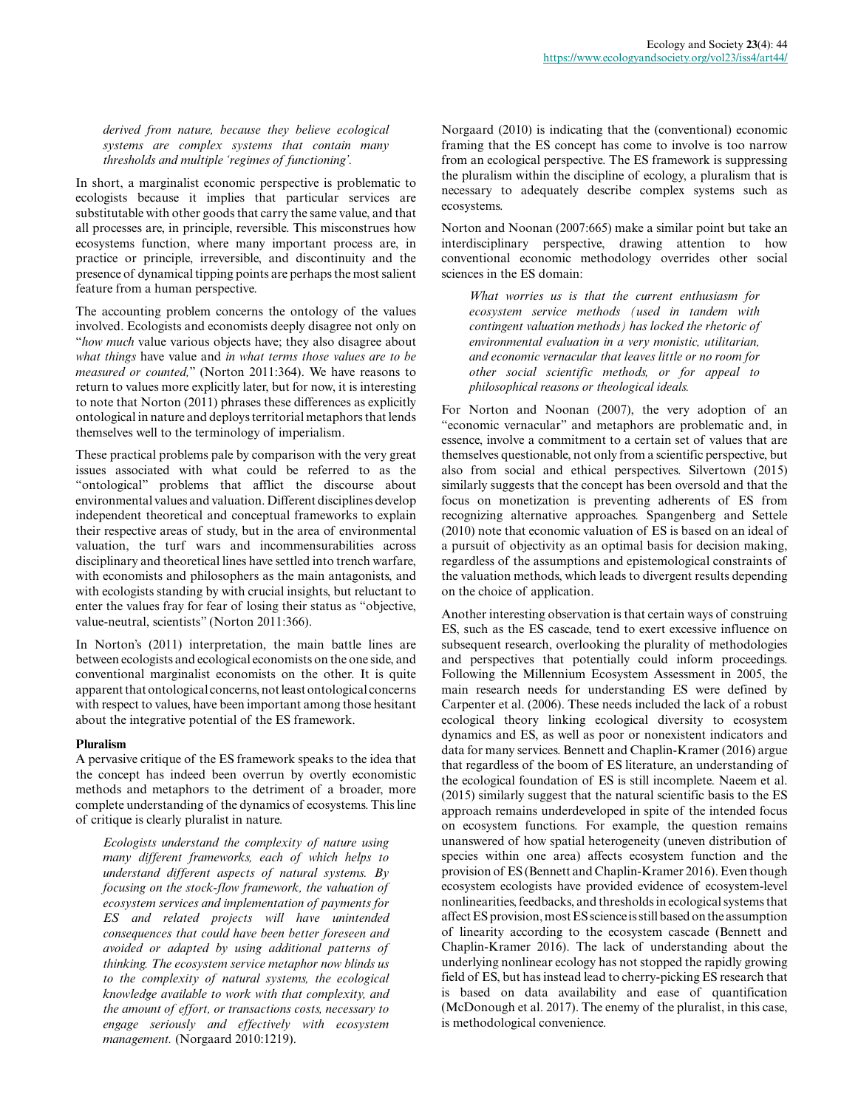*derived from nature, because they believe ecological systems are complex systems that contain many thresholds and multiple 'regimes of functioning'.*

In short, a marginalist economic perspective is problematic to ecologists because it implies that particular services are substitutable with other goods that carry the same value, and that all processes are, in principle, reversible. This misconstrues how ecosystems function, where many important process are, in practice or principle, irreversible, and discontinuity and the presence of dynamical tipping points are perhaps the most salient feature from a human perspective.

The accounting problem concerns the ontology of the values involved. Ecologists and economists deeply disagree not only on "*how much* value various objects have; they also disagree about *what things* have value and *in what terms those values are to be measured or counted,*" (Norton 2011:364). We have reasons to return to values more explicitly later, but for now, it is interesting to note that Norton (2011) phrases these differences as explicitly ontological in nature and deploys territorial metaphors that lends themselves well to the terminology of imperialism.

These practical problems pale by comparison with the very great issues associated with what could be referred to as the "ontological" problems that afflict the discourse about environmental values and valuation. Different disciplines develop independent theoretical and conceptual frameworks to explain their respective areas of study, but in the area of environmental valuation, the turf wars and incommensurabilities across disciplinary and theoretical lines have settled into trench warfare, with economists and philosophers as the main antagonists, and with ecologists standing by with crucial insights, but reluctant to enter the values fray for fear of losing their status as "objective, value-neutral, scientists" (Norton 2011:366).

In Norton's (2011) interpretation, the main battle lines are between ecologists and ecological economists on the one side, and conventional marginalist economists on the other. It is quite apparent that ontological concerns, not least ontological concerns with respect to values, have been important among those hesitant about the integrative potential of the ES framework.

### **Pluralism**

A pervasive critique of the ES framework speaks to the idea that the concept has indeed been overrun by overtly economistic methods and metaphors to the detriment of a broader, more complete understanding of the dynamics of ecosystems. This line of critique is clearly pluralist in nature.

*Ecologists understand the complexity of nature using many different frameworks, each of which helps to understand different aspects of natural systems. By focusing on the stock-flow framework, the valuation of ecosystem services and implementation of payments for ES and related projects will have unintended consequences that could have been better foreseen and avoided or adapted by using additional patterns of thinking. The ecosystem service metaphor now blinds us to the complexity of natural systems, the ecological knowledge available to work with that complexity, and the amount of effort, or transactions costs, necessary to engage seriously and effectively with ecosystem management.* (Norgaard 2010:1219).

Norgaard (2010) is indicating that the (conventional) economic framing that the ES concept has come to involve is too narrow from an ecological perspective. The ES framework is suppressing the pluralism within the discipline of ecology, a pluralism that is necessary to adequately describe complex systems such as ecosystems.

Norton and Noonan (2007:665) make a similar point but take an interdisciplinary perspective, drawing attention to how conventional economic methodology overrides other social sciences in the ES domain:

*What worries us is that the current enthusiasm for ecosystem service methods (used in tandem with contingent valuation methods) has locked the rhetoric of environmental evaluation in a very monistic, utilitarian, and economic vernacular that leaves little or no room for other social scientific methods, or for appeal to philosophical reasons or theological ideals.*

For Norton and Noonan (2007), the very adoption of an "economic vernacular" and metaphors are problematic and, in essence, involve a commitment to a certain set of values that are themselves questionable, not only from a scientific perspective, but also from social and ethical perspectives. Silvertown (2015) similarly suggests that the concept has been oversold and that the focus on monetization is preventing adherents of ES from recognizing alternative approaches. Spangenberg and Settele (2010) note that economic valuation of ES is based on an ideal of a pursuit of objectivity as an optimal basis for decision making, regardless of the assumptions and epistemological constraints of the valuation methods, which leads to divergent results depending on the choice of application.

Another interesting observation is that certain ways of construing ES, such as the ES cascade, tend to exert excessive influence on subsequent research, overlooking the plurality of methodologies and perspectives that potentially could inform proceedings. Following the Millennium Ecosystem Assessment in 2005, the main research needs for understanding ES were defined by Carpenter et al. (2006). These needs included the lack of a robust ecological theory linking ecological diversity to ecosystem dynamics and ES, as well as poor or nonexistent indicators and data for many services. Bennett and Chaplin-Kramer (2016) argue that regardless of the boom of ES literature, an understanding of the ecological foundation of ES is still incomplete. Naeem et al. (2015) similarly suggest that the natural scientific basis to the ES approach remains underdeveloped in spite of the intended focus on ecosystem functions. For example, the question remains unanswered of how spatial heterogeneity (uneven distribution of species within one area) affects ecosystem function and the provision of ES (Bennett and Chaplin-Kramer 2016). Even though ecosystem ecologists have provided evidence of ecosystem-level nonlinearities, feedbacks, and thresholds in ecological systems that affect ES provision, most ES science is still based on the assumption of linearity according to the ecosystem cascade (Bennett and Chaplin-Kramer 2016). The lack of understanding about the underlying nonlinear ecology has not stopped the rapidly growing field of ES, but has instead lead to cherry-picking ES research that is based on data availability and ease of quantification (McDonough et al. 2017). The enemy of the pluralist, in this case, is methodological convenience.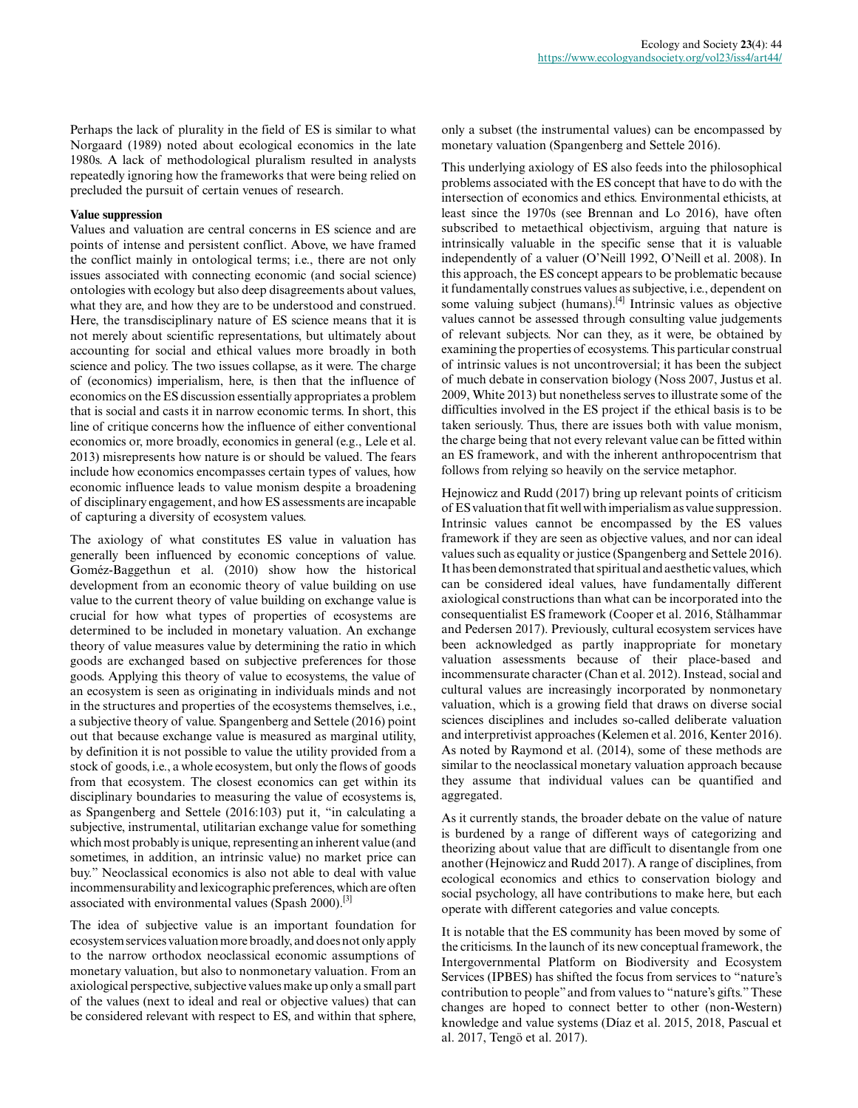Perhaps the lack of plurality in the field of ES is similar to what Norgaard (1989) noted about ecological economics in the late 1980s. A lack of methodological pluralism resulted in analysts repeatedly ignoring how the frameworks that were being relied on precluded the pursuit of certain venues of research.

### **Value suppression**

Values and valuation are central concerns in ES science and are points of intense and persistent conflict. Above, we have framed the conflict mainly in ontological terms; i.e., there are not only issues associated with connecting economic (and social science) ontologies with ecology but also deep disagreements about values, what they are, and how they are to be understood and construed. Here, the transdisciplinary nature of ES science means that it is not merely about scientific representations, but ultimately about accounting for social and ethical values more broadly in both science and policy. The two issues collapse, as it were. The charge of (economics) imperialism, here, is then that the influence of economics on the ES discussion essentially appropriates a problem that is social and casts it in narrow economic terms. In short, this line of critique concerns how the influence of either conventional economics or, more broadly, economics in general (e.g., Lele et al. 2013) misrepresents how nature is or should be valued. The fears include how economics encompasses certain types of values, how economic influence leads to value monism despite a broadening of disciplinary engagement, and how ES assessments are incapable of capturing a diversity of ecosystem values.

The axiology of what constitutes ES value in valuation has generally been influenced by economic conceptions of value. Goméz-Baggethun et al. (2010) show how the historical development from an economic theory of value building on use value to the current theory of value building on exchange value is crucial for how what types of properties of ecosystems are determined to be included in monetary valuation. An exchange theory of value measures value by determining the ratio in which goods are exchanged based on subjective preferences for those goods. Applying this theory of value to ecosystems, the value of an ecosystem is seen as originating in individuals minds and not in the structures and properties of the ecosystems themselves, i.e., a subjective theory of value. Spangenberg and Settele (2016) point out that because exchange value is measured as marginal utility, by definition it is not possible to value the utility provided from a stock of goods, i.e., a whole ecosystem, but only the flows of goods from that ecosystem. The closest economics can get within its disciplinary boundaries to measuring the value of ecosystems is, as Spangenberg and Settele (2016:103) put it, "in calculating a subjective, instrumental, utilitarian exchange value for something which most probably is unique, representing an inherent value (and sometimes, in addition, an intrinsic value) no market price can buy." Neoclassical economics is also not able to deal with value incommensurability and lexicographic preferences, which are often associated with environmental values (Spash 2000).<sup>[3]</sup>

The idea of subjective value is an important foundation for ecosystem services valuation more broadly, and does not only apply to the narrow orthodox neoclassical economic assumptions of monetary valuation, but also to nonmonetary valuation. From an axiological perspective, subjective values make up only a small part of the values (next to ideal and real or objective values) that can be considered relevant with respect to ES, and within that sphere,

only a subset (the instrumental values) can be encompassed by monetary valuation (Spangenberg and Settele 2016).

This underlying axiology of ES also feeds into the philosophical problems associated with the ES concept that have to do with the intersection of economics and ethics. Environmental ethicists, at least since the 1970s (see Brennan and Lo 2016), have often subscribed to metaethical objectivism, arguing that nature is intrinsically valuable in the specific sense that it is valuable independently of a valuer (O'Neill 1992, O'Neill et al. 2008). In this approach, the ES concept appears to be problematic because it fundamentally construes values as subjective, i.e., dependent on some valuing subject (humans).<sup>[4]</sup> Intrinsic values as objective values cannot be assessed through consulting value judgements of relevant subjects. Nor can they, as it were, be obtained by examining the properties of ecosystems. This particular construal of intrinsic values is not uncontroversial; it has been the subject of much debate in conservation biology (Noss 2007, Justus et al. 2009, White 2013) but nonetheless serves to illustrate some of the difficulties involved in the ES project if the ethical basis is to be taken seriously. Thus, there are issues both with value monism, the charge being that not every relevant value can be fitted within an ES framework, and with the inherent anthropocentrism that follows from relying so heavily on the service metaphor.

Hejnowicz and Rudd (2017) bring up relevant points of criticism of ES valuation that fit well with imperialism as value suppression. Intrinsic values cannot be encompassed by the ES values framework if they are seen as objective values, and nor can ideal values such as equality or justice (Spangenberg and Settele 2016). It has been demonstrated that spiritual and aesthetic values, which can be considered ideal values, have fundamentally different axiological constructions than what can be incorporated into the consequentialist ES framework (Cooper et al. 2016, Stålhammar and Pedersen 2017). Previously, cultural ecosystem services have been acknowledged as partly inappropriate for monetary valuation assessments because of their place-based and incommensurate character (Chan et al. 2012). Instead, social and cultural values are increasingly incorporated by nonmonetary valuation, which is a growing field that draws on diverse social sciences disciplines and includes so-called deliberate valuation and interpretivist approaches (Kelemen et al. 2016, Kenter 2016). As noted by Raymond et al. (2014), some of these methods are similar to the neoclassical monetary valuation approach because they assume that individual values can be quantified and aggregated.

As it currently stands, the broader debate on the value of nature is burdened by a range of different ways of categorizing and theorizing about value that are difficult to disentangle from one another (Hejnowicz and Rudd 2017). A range of disciplines, from ecological economics and ethics to conservation biology and social psychology, all have contributions to make here, but each operate with different categories and value concepts.

It is notable that the ES community has been moved by some of the criticisms. In the launch of its new conceptual framework, the Intergovernmental Platform on Biodiversity and Ecosystem Services (IPBES) has shifted the focus from services to "nature's contribution to people" and from values to "nature's gifts." These changes are hoped to connect better to other (non-Western) knowledge and value systems (Díaz et al. 2015, 2018, Pascual et al. 2017, Tengö et al. 2017).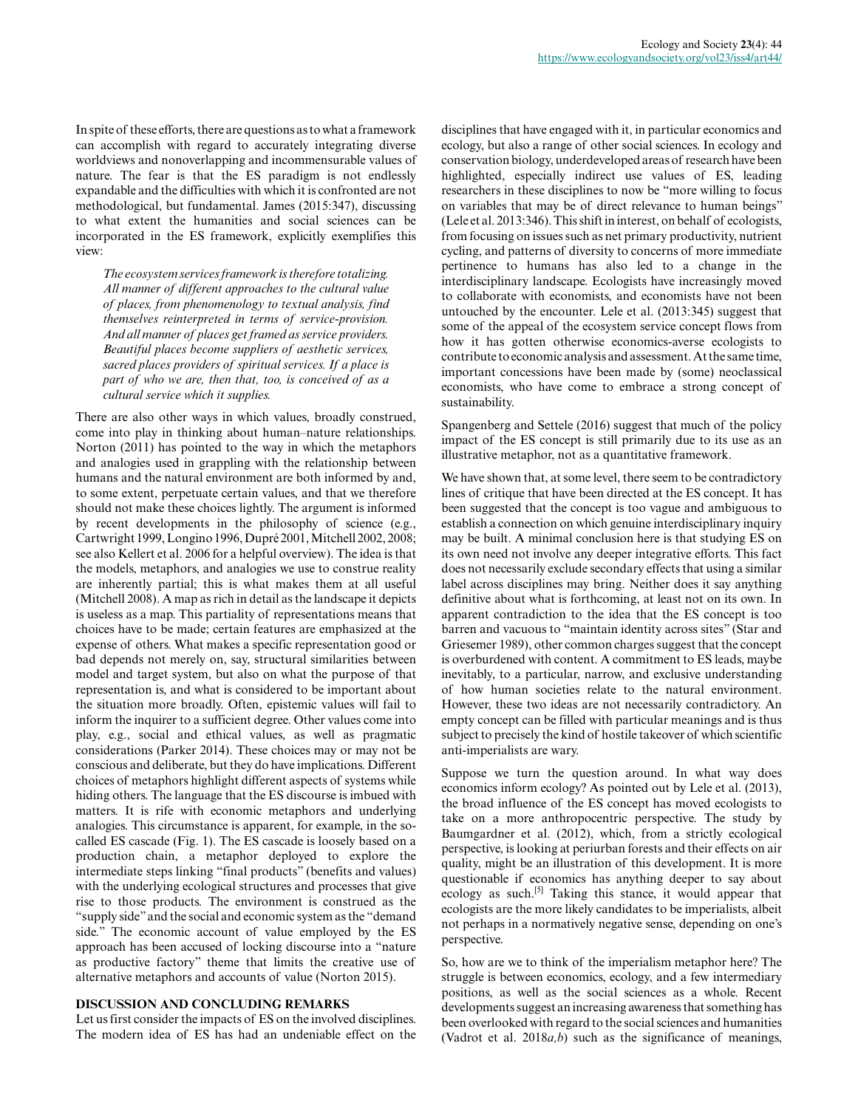In spite of these efforts, there are questions as to what a framework can accomplish with regard to accurately integrating diverse worldviews and nonoverlapping and incommensurable values of nature. The fear is that the ES paradigm is not endlessly expandable and the difficulties with which it is confronted are not methodological, but fundamental. James (2015:347), discussing to what extent the humanities and social sciences can be incorporated in the ES framework, explicitly exemplifies this view:

*The ecosystem services framework is therefore totalizing. All manner of different approaches to the cultural value of places, from phenomenology to textual analysis, find themselves reinterpreted in terms of service-provision. And all manner of places get framed as service providers. Beautiful places become suppliers of aesthetic services, sacred places providers of spiritual services. If a place is part of who we are, then that, too, is conceived of as a cultural service which it supplies.*

There are also other ways in which values, broadly construed, come into play in thinking about human–nature relationships. Norton (2011) has pointed to the way in which the metaphors and analogies used in grappling with the relationship between humans and the natural environment are both informed by and, to some extent, perpetuate certain values, and that we therefore should not make these choices lightly. The argument is informed by recent developments in the philosophy of science (e.g., Cartwright 1999, Longino 1996, Dupré 2001, Mitchell 2002, 2008; see also Kellert et al. 2006 for a helpful overview). The idea is that the models, metaphors, and analogies we use to construe reality are inherently partial; this is what makes them at all useful (Mitchell 2008). A map as rich in detail as the landscape it depicts is useless as a map. This partiality of representations means that choices have to be made; certain features are emphasized at the expense of others. What makes a specific representation good or bad depends not merely on, say, structural similarities between model and target system, but also on what the purpose of that representation is, and what is considered to be important about the situation more broadly. Often, epistemic values will fail to inform the inquirer to a sufficient degree. Other values come into play, e.g., social and ethical values, as well as pragmatic considerations (Parker 2014). These choices may or may not be conscious and deliberate, but they do have implications. Different choices of metaphors highlight different aspects of systems while hiding others. The language that the ES discourse is imbued with matters. It is rife with economic metaphors and underlying analogies. This circumstance is apparent, for example, in the socalled ES cascade (Fig. 1). The ES cascade is loosely based on a production chain, a metaphor deployed to explore the intermediate steps linking "final products" (benefits and values) with the underlying ecological structures and processes that give rise to those products. The environment is construed as the "supply side" and the social and economic system as the "demand side." The economic account of value employed by the ES approach has been accused of locking discourse into a "nature as productive factory" theme that limits the creative use of alternative metaphors and accounts of value (Norton 2015).

### **DISCUSSION AND CONCLUDING REMARKS**

Let us first consider the impacts of ES on the involved disciplines. The modern idea of ES has had an undeniable effect on the disciplines that have engaged with it, in particular economics and ecology, but also a range of other social sciences. In ecology and conservation biology, underdeveloped areas of research have been highlighted, especially indirect use values of ES, leading researchers in these disciplines to now be "more willing to focus on variables that may be of direct relevance to human beings" (Lele et al. 2013:346). This shift in interest, on behalf of ecologists, from focusing on issues such as net primary productivity, nutrient cycling, and patterns of diversity to concerns of more immediate pertinence to humans has also led to a change in the interdisciplinary landscape. Ecologists have increasingly moved to collaborate with economists, and economists have not been untouched by the encounter. Lele et al. (2013:345) suggest that some of the appeal of the ecosystem service concept flows from how it has gotten otherwise economics-averse ecologists to contribute to economic analysis and assessment. At the same time, important concessions have been made by (some) neoclassical economists, who have come to embrace a strong concept of sustainability.

Spangenberg and Settele (2016) suggest that much of the policy impact of the ES concept is still primarily due to its use as an illustrative metaphor, not as a quantitative framework.

We have shown that, at some level, there seem to be contradictory lines of critique that have been directed at the ES concept. It has been suggested that the concept is too vague and ambiguous to establish a connection on which genuine interdisciplinary inquiry may be built. A minimal conclusion here is that studying ES on its own need not involve any deeper integrative efforts. This fact does not necessarily exclude secondary effects that using a similar label across disciplines may bring. Neither does it say anything definitive about what is forthcoming, at least not on its own. In apparent contradiction to the idea that the ES concept is too barren and vacuous to "maintain identity across sites" (Star and Griesemer 1989), other common charges suggest that the concept is overburdened with content. A commitment to ES leads, maybe inevitably, to a particular, narrow, and exclusive understanding of how human societies relate to the natural environment. However, these two ideas are not necessarily contradictory. An empty concept can be filled with particular meanings and is thus subject to precisely the kind of hostile takeover of which scientific anti-imperialists are wary.

Suppose we turn the question around. In what way does economics inform ecology? As pointed out by Lele et al. (2013), the broad influence of the ES concept has moved ecologists to take on a more anthropocentric perspective. The study by Baumgardner et al. (2012), which, from a strictly ecological perspective, is looking at periurban forests and their effects on air quality, might be an illustration of this development. It is more questionable if economics has anything deeper to say about ecology as such.<sup>[5]</sup> Taking this stance, it would appear that ecologists are the more likely candidates to be imperialists, albeit not perhaps in a normatively negative sense, depending on one's perspective.

So, how are we to think of the imperialism metaphor here? The struggle is between economics, ecology, and a few intermediary positions, as well as the social sciences as a whole. Recent developments suggest an increasing awareness that something has been overlooked with regard to the social sciences and humanities (Vadrot et al. 2018*a,b*) such as the significance of meanings,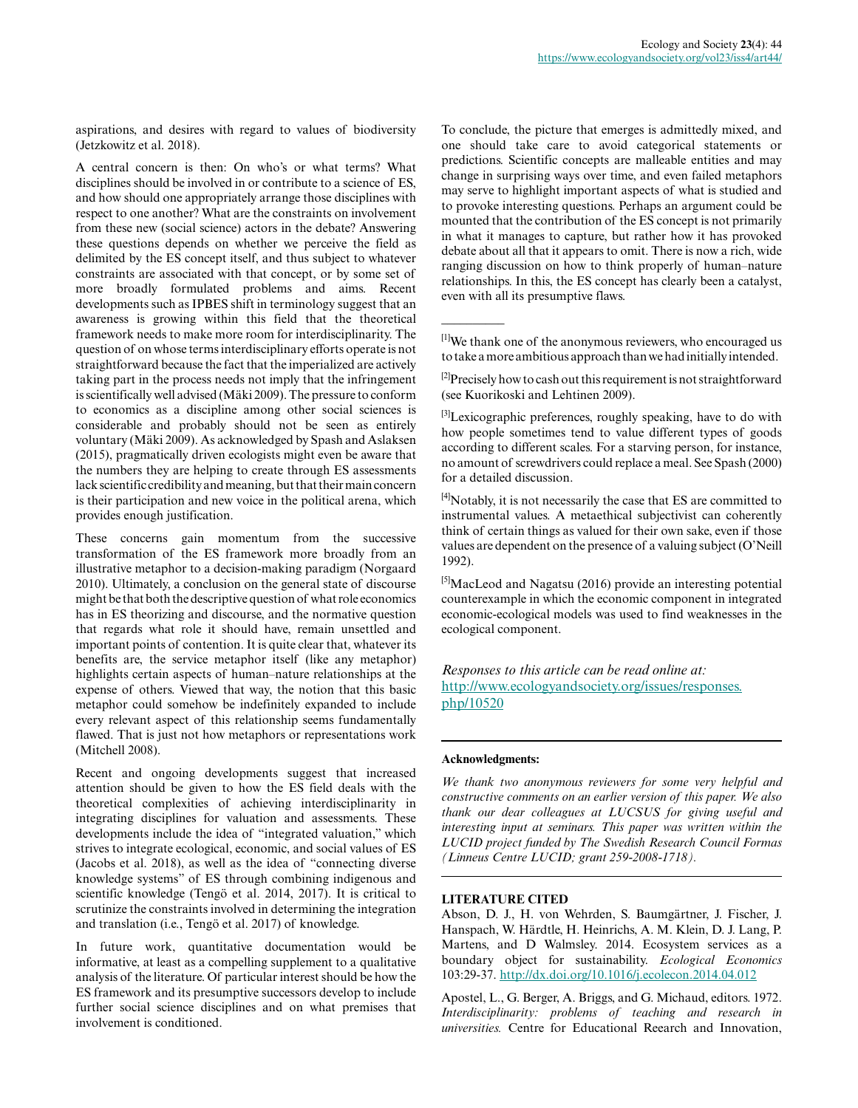aspirations, and desires with regard to values of biodiversity (Jetzkowitz et al. 2018).

A central concern is then: On who's or what terms? What disciplines should be involved in or contribute to a science of ES, and how should one appropriately arrange those disciplines with respect to one another? What are the constraints on involvement from these new (social science) actors in the debate? Answering these questions depends on whether we perceive the field as delimited by the ES concept itself, and thus subject to whatever constraints are associated with that concept, or by some set of more broadly formulated problems and aims. Recent developments such as IPBES shift in terminology suggest that an awareness is growing within this field that the theoretical framework needs to make more room for interdisciplinarity. The question of on whose terms interdisciplinary efforts operate is not straightforward because the fact that the imperialized are actively taking part in the process needs not imply that the infringement is scientifically well advised (Mäki 2009). The pressure to conform to economics as a discipline among other social sciences is considerable and probably should not be seen as entirely voluntary (Mäki 2009). As acknowledged by Spash and Aslaksen (2015), pragmatically driven ecologists might even be aware that the numbers they are helping to create through ES assessments lack scientific credibility and meaning, but that their main concern is their participation and new voice in the political arena, which provides enough justification.

These concerns gain momentum from the successive transformation of the ES framework more broadly from an illustrative metaphor to a decision-making paradigm (Norgaard 2010). Ultimately, a conclusion on the general state of discourse might be that both the descriptive question of what role economics has in ES theorizing and discourse, and the normative question that regards what role it should have, remain unsettled and important points of contention. It is quite clear that, whatever its benefits are, the service metaphor itself (like any metaphor) highlights certain aspects of human–nature relationships at the expense of others. Viewed that way, the notion that this basic metaphor could somehow be indefinitely expanded to include every relevant aspect of this relationship seems fundamentally flawed. That is just not how metaphors or representations work (Mitchell 2008).

Recent and ongoing developments suggest that increased attention should be given to how the ES field deals with the theoretical complexities of achieving interdisciplinarity in integrating disciplines for valuation and assessments. These developments include the idea of "integrated valuation," which strives to integrate ecological, economic, and social values of ES (Jacobs et al. 2018), as well as the idea of "connecting diverse knowledge systems" of ES through combining indigenous and scientific knowledge (Tengö et al. 2014, 2017). It is critical to scrutinize the constraints involved in determining the integration and translation (i.e., Tengö et al. 2017) of knowledge.

In future work, quantitative documentation would be informative, at least as a compelling supplement to a qualitative analysis of the literature. Of particular interest should be how the ES framework and its presumptive successors develop to include further social science disciplines and on what premises that involvement is conditioned.

To conclude, the picture that emerges is admittedly mixed, and one should take care to avoid categorical statements or predictions. Scientific concepts are malleable entities and may change in surprising ways over time, and even failed metaphors may serve to highlight important aspects of what is studied and to provoke interesting questions. Perhaps an argument could be mounted that the contribution of the ES concept is not primarily in what it manages to capture, but rather how it has provoked debate about all that it appears to omit. There is now a rich, wide ranging discussion on how to think properly of human–nature relationships. In this, the ES concept has clearly been a catalyst, even with all its presumptive flaws.

[1]We thank one of the anonymous reviewers, who encouraged us to take a more ambitious approach than we had initially intended.

<sup>[2]</sup>Precisely how to cash out this requirement is not straightforward (see Kuorikoski and Lehtinen 2009).

<sup>[3]</sup>Lexicographic preferences, roughly speaking, have to do with how people sometimes tend to value different types of goods according to different scales. For a starving person, for instance, no amount of screwdrivers could replace a meal. See Spash (2000) for a detailed discussion.

[4]Notably, it is not necessarily the case that ES are committed to instrumental values. A metaethical subjectivist can coherently think of certain things as valued for their own sake, even if those values are dependent on the presence of a valuing subject (O'Neill 1992).

<sup>[5]</sup>MacLeod and Nagatsu (2016) provide an interesting potential counterexample in which the economic component in integrated economic-ecological models was used to find weaknesses in the ecological component.

*Responses to this article can be read online at:* [http://www.ecologyandsociety.org/issues/responses.](http://www.ecologyandsociety.org/issues/responses.php/10520) [php/10520](http://www.ecologyandsociety.org/issues/responses.php/10520)

### **Acknowledgments:**

 $\overline{\phantom{a}}$ 

*We thank two anonymous reviewers for some very helpful and constructive comments on an earlier version of this paper. We also thank our dear colleagues at LUCSUS for giving useful and interesting input at seminars. This paper was written within the LUCID project funded by The Swedish Research Council Formas (Linneus Centre LUCID; grant 259-2008-1718).*

#### **LITERATURE CITED**

Abson, D. J., H. von Wehrden, S. Baumgärtner, J. Fischer, J. Hanspach, W. Härdtle, H. Heinrichs, A. M. Klein, D. J. Lang, P. Martens, and D Walmsley. 2014. Ecosystem services as a boundary object for sustainability. *Ecological Economics* 103:29-37. <http://dx.doi.org/10.1016/j.ecolecon.2014.04.012>

Apostel, L., G. Berger, A. Briggs, and G. Michaud, editors. 1972. *Interdisciplinarity: problems of teaching and research in universities.* Centre for Educational Reearch and Innovation,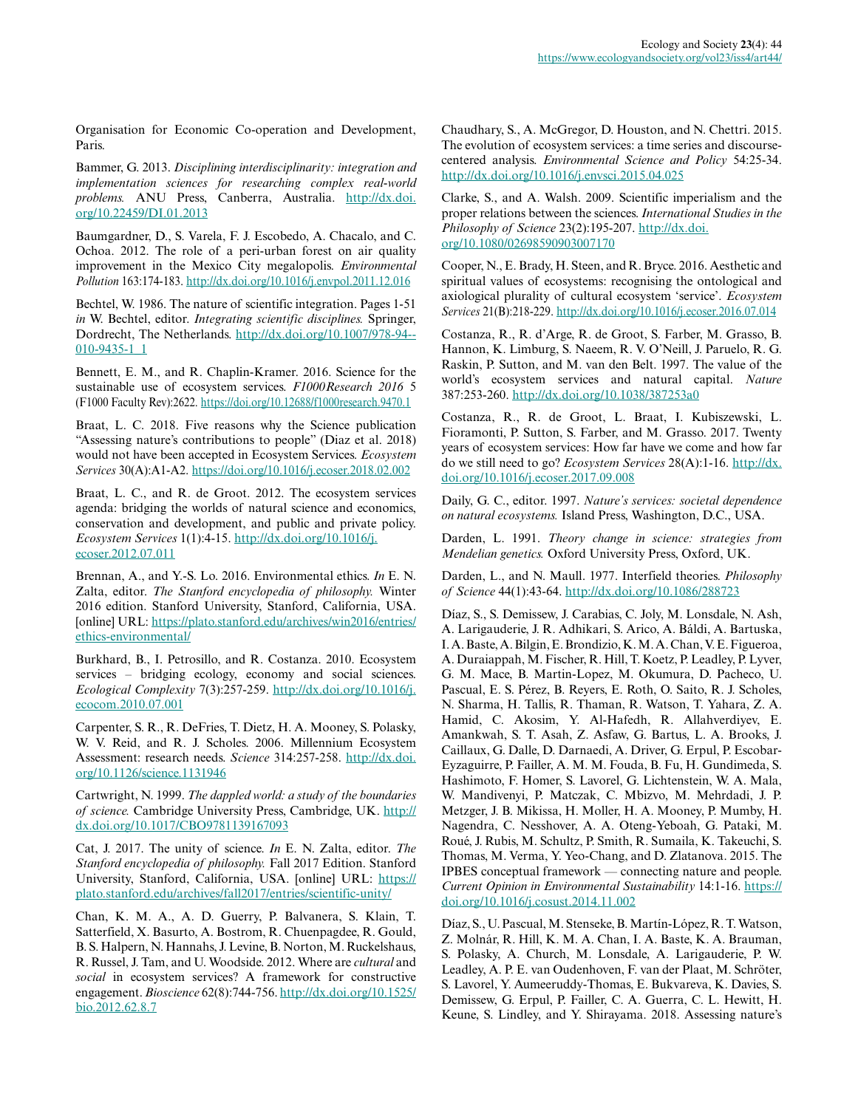Organisation for Economic Co-operation and Development, Paris.

Bammer, G. 2013. *Disciplining interdisciplinarity: integration and implementation sciences for researching complex real-world problems.* ANU Press, Canberra, Australia. [http://dx.doi.](http://dx.doi.org/10.22459/DI.01.2013) [org/10.22459/DI.01.2013](http://dx.doi.org/10.22459/DI.01.2013)

Baumgardner, D., S. Varela, F. J. Escobedo, A. Chacalo, and C. Ochoa. 2012. The role of a peri-urban forest on air quality improvement in the Mexico City megalopolis. *Environmental Pollution* 163:174-183. <http://dx.doi.org/10.1016/j.envpol.2011.12.016>

Bechtel, W. 1986. The nature of scientific integration. Pages 1-51 *in* W. Bechtel, editor. *Integrating scientific disciplines.* Springer, Dordrecht, The Netherlands. [http://dx.doi.org/10.1007/978-94-](http://dx.doi.org/10.1007/978-94-010-9435-1_1) [010-9435-1\\_1](http://dx.doi.org/10.1007/978-94-010-9435-1_1) 

Bennett, E. M., and R. Chaplin-Kramer. 2016. Science for the sustainable use of ecosystem services. *F1000Research 2016* 5 (F1000 Faculty Rev):2622.<https://doi.org/10.12688/f1000research.9470.1>

Braat, L. C. 2018. Five reasons why the Science publication "Assessing nature's contributions to people" (Diaz et al. 2018) would not have been accepted in Ecosystem Services. *Ecosystem Services* 30(A):A1-A2. <https://doi.org/10.1016/j.ecoser.2018.02.002>

Braat, L. C., and R. de Groot. 2012. The ecosystem services agenda: bridging the worlds of natural science and economics, conservation and development, and public and private policy. *Ecosystem Services* 1(1):4-15. [http://dx.doi.org/10.1016/j.](http://dx.doi.org/10.1016/j.ecoser.2012.07.011) [ecoser.2012.07.011](http://dx.doi.org/10.1016/j.ecoser.2012.07.011) 

Brennan, A., and Y.-S. Lo. 2016. Environmental ethics. *In* E. N. Zalta, editor. *The Stanford encyclopedia of philosophy.* Winter 2016 edition. Stanford University, Stanford, California, USA. [online] URL: [https://plato.stanford.edu/archives/win2016/entries/](https://plato.stanford.edu/archives/win2016/entries/ethics-environmental/) [ethics-environmental/](https://plato.stanford.edu/archives/win2016/entries/ethics-environmental/)

Burkhard, B., I. Petrosillo, and R. Costanza. 2010. Ecosystem services – bridging ecology, economy and social sciences. *Ecological Complexity* 7(3):257-259. [http://dx.doi.org/10.1016/j.](http://dx.doi.org/10.1016/j.ecocom.2010.07.001) [ecocom.2010.07.001](http://dx.doi.org/10.1016/j.ecocom.2010.07.001) 

Carpenter, S. R., R. DeFries, T. Dietz, H. A. Mooney, S. Polasky, W. V. Reid, and R. J. Scholes. 2006. Millennium Ecosystem Assessment: research needs. *Science* 314:257-258. [http://dx.doi.](http://dx.doi.org/10.1126/science.1131946) [org/10.1126/science.1131946](http://dx.doi.org/10.1126/science.1131946)

Cartwright, N. 1999. *The dappled world: a study of the boundaries of science.* Cambridge University Press, Cambridge, UK. [http://](http://dx.doi.org/10.1017/CBO9781139167093) [dx.doi.org/10.1017/CBO9781139167093](http://dx.doi.org/10.1017/CBO9781139167093) 

Cat, J. 2017. The unity of science. *In* E. N. Zalta, editor. *The Stanford encyclopedia of philosophy.* Fall 2017 Edition. Stanford University, Stanford, California, USA. [online] URL: [https://](https://plato.stanford.edu/archives/fall2017/entries/scientific-unity/) [plato.stanford.edu/archives/fall2017/entries/scientific-unity/](https://plato.stanford.edu/archives/fall2017/entries/scientific-unity/)

Chan, K. M. A., A. D. Guerry, P. Balvanera, S. Klain, T. Satterfield, X. Basurto, A. Bostrom, R. Chuenpagdee, R. Gould, B. S. Halpern, N. Hannahs, J. Levine, B. Norton, M. Ruckelshaus, R. Russel, J. Tam, and U. Woodside. 2012. Where are *cultural* and *social* in ecosystem services? A framework for constructive engagement. *Bioscience* 62(8):744-756. [http://dx.doi.org/10.1525/](http://dx.doi.org/10.1525/bio.2012.62.8.7) [bio.2012.62.8.7](http://dx.doi.org/10.1525/bio.2012.62.8.7) 

Chaudhary, S., A. McGregor, D. Houston, and N. Chettri. 2015. The evolution of ecosystem services: a time series and discoursecentered analysis. *Environmental Science and Policy* 54:25-34. <http://dx.doi.org/10.1016/j.envsci.2015.04.025>

Clarke, S., and A. Walsh. 2009. Scientific imperialism and the proper relations between the sciences. *International Studies in the Philosophy of Science* 23(2):195-207. [http://dx.doi.](http://dx.doi.org/10.1080/02698590903007170) [org/10.1080/02698590903007170](http://dx.doi.org/10.1080/02698590903007170) 

Cooper, N., E. Brady, H. Steen, and R. Bryce. 2016. Aesthetic and spiritual values of ecosystems: recognising the ontological and axiological plurality of cultural ecosystem 'service'. *Ecosystem Services* 21(B):218-229.<http://dx.doi.org/10.1016/j.ecoser.2016.07.014>

Costanza, R., R. d'Arge, R. de Groot, S. Farber, M. Grasso, B. Hannon, K. Limburg, S. Naeem, R. V. O'Neill, J. Paruelo, R. G. Raskin, P. Sutton, and M. van den Belt. 1997. The value of the world's ecosystem services and natural capital. *Nature* 387:253-260. <http://dx.doi.org/10.1038/387253a0>

Costanza, R., R. de Groot, L. Braat, I. Kubiszewski, L. Fioramonti, P. Sutton, S. Farber, and M. Grasso. 2017. Twenty years of ecosystem services: How far have we come and how far do we still need to go? *Ecosystem Services* 28(A):1-16. [http://dx.](http://dx.doi.org/10.1016/j.ecoser.2017.09.008) [doi.org/10.1016/j.ecoser.2017.09.008](http://dx.doi.org/10.1016/j.ecoser.2017.09.008) 

Daily, G. C., editor. 1997. *Nature's services: societal dependence on natural ecosystems.* Island Press, Washington, D.C., USA.

Darden, L. 1991. *Theory change in science: strategies from Mendelian genetics.* Oxford University Press, Oxford, UK.

Darden, L., and N. Maull. 1977. Interfield theories. *Philosophy of Science* 44(1):43-64.<http://dx.doi.org/10.1086/288723>

Díaz, S., S. Demissew, J. Carabias, C. Joly, M. Lonsdale, N. Ash, A. Larigauderie, J. R. Adhikari, S. Arico, A. Báldi, A. Bartuska, I. A. Baste, A. Bilgin, E. Brondizio, K. M. A. Chan, V. E. Figueroa, A. Duraiappah, M. Fischer, R. Hill, T. Koetz, P. Leadley, P. Lyver, G. M. Mace, B. Martin-Lopez, M. Okumura, D. Pacheco, U. Pascual, E. S. Pérez, B. Reyers, E. Roth, O. Saito, R. J. Scholes, N. Sharma, H. Tallis, R. Thaman, R. Watson, T. Yahara, Z. A. Hamid, C. Akosim, Y. Al-Hafedh, R. Allahverdiyev, E. Amankwah, S. T. Asah, Z. Asfaw, G. Bartus, L. A. Brooks, J. Caillaux, G. Dalle, D. Darnaedi, A. Driver, G. Erpul, P. Escobar-Eyzaguirre, P. Failler, A. M. M. Fouda, B. Fu, H. Gundimeda, S. Hashimoto, F. Homer, S. Lavorel, G. Lichtenstein, W. A. Mala, W. Mandivenyi, P. Matczak, C. Mbizvo, M. Mehrdadi, J. P. Metzger, J. B. Mikissa, H. Moller, H. A. Mooney, P. Mumby, H. Nagendra, C. Nesshover, A. A. Oteng-Yeboah, G. Pataki, M. Roué, J. Rubis, M. Schultz, P. Smith, R. Sumaila, K. Takeuchi, S. Thomas, M. Verma, Y. Yeo-Chang, and D. Zlatanova. 2015. The IPBES conceptual framework — connecting nature and people. *Current Opinion in Environmental Sustainability* 14:1-16. [https://](https://doi.org/10.1016/j.cosust.2014.11.002) [doi.org/10.1016/j.cosust.2014.11.002](https://doi.org/10.1016/j.cosust.2014.11.002) 

Díaz, S., U. Pascual, M. Stenseke, B. Martín-López, R. T. Watson, Z. Molnár, R. Hill, K. M. A. Chan, I. A. Baste, K. A. Brauman, S. Polasky, A. Church, M. Lonsdale, A. Larigauderie, P. W. Leadley, A. P. E. van Oudenhoven, F. van der Plaat, M. Schröter, S. Lavorel, Y. Aumeeruddy-Thomas, E. Bukvareva, K. Davies, S. Demissew, G. Erpul, P. Failler, C. A. Guerra, C. L. Hewitt, H. Keune, S. Lindley, and Y. Shirayama. 2018. Assessing nature's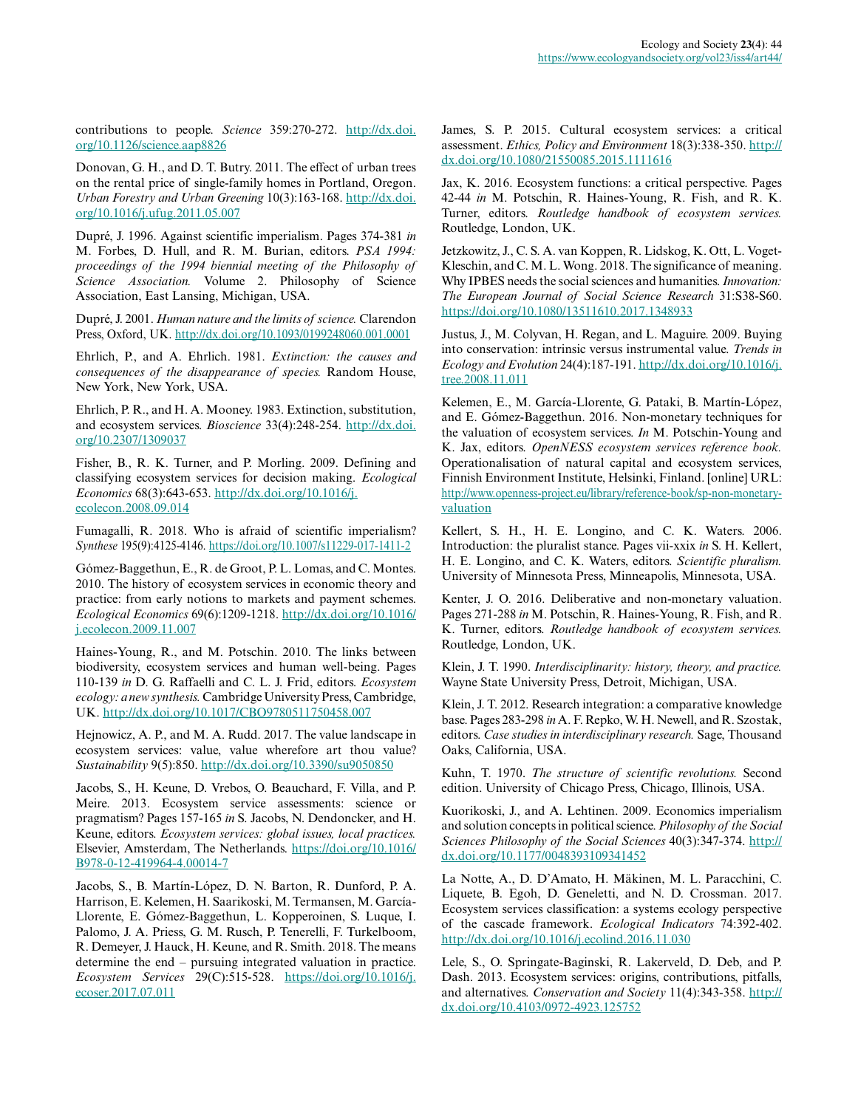contributions to people. *Science* 359:270-272. [http://dx.doi.](http://dx.doi.org/10.1126/science.aap8826) [org/10.1126/science.aap8826](http://dx.doi.org/10.1126/science.aap8826) 

Donovan, G. H., and D. T. Butry. 2011. The effect of urban trees on the rental price of single-family homes in Portland, Oregon. *Urban Forestry and Urban Greening* 10(3):163-168. [http://dx.doi.](http://dx.doi.org/10.1016/j.ufug.2011.05.007) [org/10.1016/j.ufug.2011.05.007](http://dx.doi.org/10.1016/j.ufug.2011.05.007)

Dupré, J. 1996. Against scientific imperialism. Pages 374-381 *in* M. Forbes, D. Hull, and R. M. Burian, editors. *PSA 1994: proceedings of the 1994 biennial meeting of the Philosophy of Science Association.* Volume 2. Philosophy of Science Association, East Lansing, Michigan, USA.

Dupré, J. 2001. *Human nature and the limits of science.* Clarendon Press, Oxford, UK. <http://dx.doi.org/10.1093/0199248060.001.0001>

Ehrlich, P., and A. Ehrlich. 1981. *Extinction: the causes and consequences of the disappearance of species.* Random House, New York, New York, USA.

Ehrlich, P. R., and H. A. Mooney. 1983. Extinction, substitution, and ecosystem services. *Bioscience* 33(4):248-254. [http://dx.doi.](http://dx.doi.org/10.2307/1309037) [org/10.2307/1309037](http://dx.doi.org/10.2307/1309037) 

Fisher, B., R. K. Turner, and P. Morling. 2009. Defining and classifying ecosystem services for decision making. *Ecological Economics* 68(3):643-653. [http://dx.doi.org/10.1016/j.](http://dx.doi.org/10.1016/j.ecolecon.2008.09.014) [ecolecon.2008.09.014](http://dx.doi.org/10.1016/j.ecolecon.2008.09.014) 

Fumagalli, R. 2018. Who is afraid of scientific imperialism? *Synthese* 195(9):4125-4146.<https://doi.org/10.1007/s11229-017-1411-2>

Gómez-Baggethun, E., R. de Groot, P. L. Lomas, and C. Montes. 2010. The history of ecosystem services in economic theory and practice: from early notions to markets and payment schemes. *Ecological Economics* 69(6):1209-1218. [http://dx.doi.org/10.1016/](http://dx.doi.org/10.1016/j.ecolecon.2009.11.007) [j.ecolecon.2009.11.007](http://dx.doi.org/10.1016/j.ecolecon.2009.11.007) 

Haines-Young, R., and M. Potschin. 2010. The links between biodiversity, ecosystem services and human well-being. Pages 110-139 *in* D. G. Raffaelli and C. L. J. Frid, editors. *Ecosystem ecology: a new synthesis.* Cambridge University Press, Cambridge, UK. <http://dx.doi.org/10.1017/CBO9780511750458.007>

Hejnowicz, A. P., and M. A. Rudd. 2017. The value landscape in ecosystem services: value, value wherefore art thou value? *Sustainability* 9(5):850. <http://dx.doi.org/10.3390/su9050850>

Jacobs, S., H. Keune, D. Vrebos, O. Beauchard, F. Villa, and P. Meire. 2013. Ecosystem service assessments: science or pragmatism? Pages 157-165 *in* S. Jacobs, N. Dendoncker, and H. Keune, editors. *Ecosystem services: global issues, local practices.* Elsevier, Amsterdam, The Netherlands. [https://doi.org/10.1016/](https://doi.org/10.1016/B978-0-12-419964-4.00014-7) [B978-0-12-419964-4.00014-7](https://doi.org/10.1016/B978-0-12-419964-4.00014-7) 

Jacobs, S., B. Martín-López, D. N. Barton, R. Dunford, P. A. Harrison, E. Kelemen, H. Saarikoski, M. Termansen, M. García-Llorente, E. Gómez-Baggethun, L. Kopperoinen, S. Luque, I. Palomo, J. A. Priess, G. M. Rusch, P. Tenerelli, F. Turkelboom, R. Demeyer, J. Hauck, H. Keune, and R. Smith. 2018. The means determine the end – pursuing integrated valuation in practice. *Ecosystem Services* 29(C):515-528. [https://doi.org/10.1016/j.](https://doi.org/10.1016/j.ecoser.2017.07.011) [ecoser.2017.07.011](https://doi.org/10.1016/j.ecoser.2017.07.011) 

James, S. P. 2015. Cultural ecosystem services: a critical assessment. *Ethics, Policy and Environment* 18(3):338-350. [http://](http://dx.doi.org/10.1080/21550085.2015.1111616) [dx.doi.org/10.1080/21550085.2015.1111616](http://dx.doi.org/10.1080/21550085.2015.1111616)

Jax, K. 2016. Ecosystem functions: a critical perspective. Pages 42-44 *in* M. Potschin, R. Haines-Young, R. Fish, and R. K. Turner, editors. *Routledge handbook of ecosystem services.* Routledge, London, UK.

Jetzkowitz, J., C. S. A. van Koppen, R. Lidskog, K. Ott, L. Voget-Kleschin, and C. M. L. Wong. 2018. The significance of meaning. Why IPBES needs the social sciences and humanities. *Innovation: The European Journal of Social Science Research* 31:S38-S60. <https://doi.org/10.1080/13511610.2017.1348933>

Justus, J., M. Colyvan, H. Regan, and L. Maguire. 2009. Buying into conservation: intrinsic versus instrumental value. *Trends in Ecology and Evolution* 24(4):187-191. [http://dx.doi.org/10.1016/j.](http://dx.doi.org/10.1016/j.tree.2008.11.011) [tree.2008.11.011](http://dx.doi.org/10.1016/j.tree.2008.11.011) 

Kelemen, E., M. García-Llorente, G. Pataki, B. Martín-López, and E. Gómez-Baggethun. 2016. Non-monetary techniques for the valuation of ecosystem services. *In* M. Potschin-Young and K. Jax, editors. *OpenNESS ecosystem services reference book.* Operationalisation of natural capital and ecosystem services, Finnish Environment Institute, Helsinki, Finland. [online] URL: [http://www.openness-project.eu/library/reference-book/sp-non-monetary](http://www.openness-project.eu/library/reference-book/sp-non-monetary-valuation)[valuation](http://www.openness-project.eu/library/reference-book/sp-non-monetary-valuation) 

Kellert, S. H., H. E. Longino, and C. K. Waters. 2006. Introduction: the pluralist stance. Pages vii-xxix *in* S. H. Kellert, H. E. Longino, and C. K. Waters, editors. *Scientific pluralism.* University of Minnesota Press, Minneapolis, Minnesota, USA.

Kenter, J. O. 2016. Deliberative and non-monetary valuation. Pages 271-288 *in* M. Potschin, R. Haines-Young, R. Fish, and R. K. Turner, editors. *Routledge handbook of ecosystem services.* Routledge, London, UK.

Klein, J. T. 1990. *Interdisciplinarity: history, theory, and practice.* Wayne State University Press, Detroit, Michigan, USA.

Klein, J. T. 2012. Research integration: a comparative knowledge base. Pages 283-298 *in* A. F. Repko, W. H. Newell, and R. Szostak, editors. *Case studies in interdisciplinary research.* Sage, Thousand Oaks, California, USA.

Kuhn, T. 1970. *The structure of scientific revolutions.* Second edition. University of Chicago Press, Chicago, Illinois, USA.

Kuorikoski, J., and A. Lehtinen. 2009. Economics imperialism and solution concepts in political science. *Philosophy of the Social Sciences Philosophy of the Social Sciences* 40(3):347-374. [http://](http://dx.doi.org/10.1177/0048393109341452) [dx.doi.org/10.1177/0048393109341452](http://dx.doi.org/10.1177/0048393109341452) 

La Notte, A., D. D'Amato, H. Mäkinen, M. L. Paracchini, C. Liquete, B. Egoh, D. Geneletti, and N. D. Crossman. 2017. Ecosystem services classification: a systems ecology perspective of the cascade framework. *Ecological Indicators* 74:392-402. <http://dx.doi.org/10.1016/j.ecolind.2016.11.030>

Lele, S., O. Springate-Baginski, R. Lakerveld, D. Deb, and P. Dash. 2013. Ecosystem services: origins, contributions, pitfalls, and alternatives. *Conservation and Society* 11(4):343-358. [http://](http://dx.doi.org/10.4103/0972-4923.125752) [dx.doi.org/10.4103/0972-4923.125752](http://dx.doi.org/10.4103/0972-4923.125752)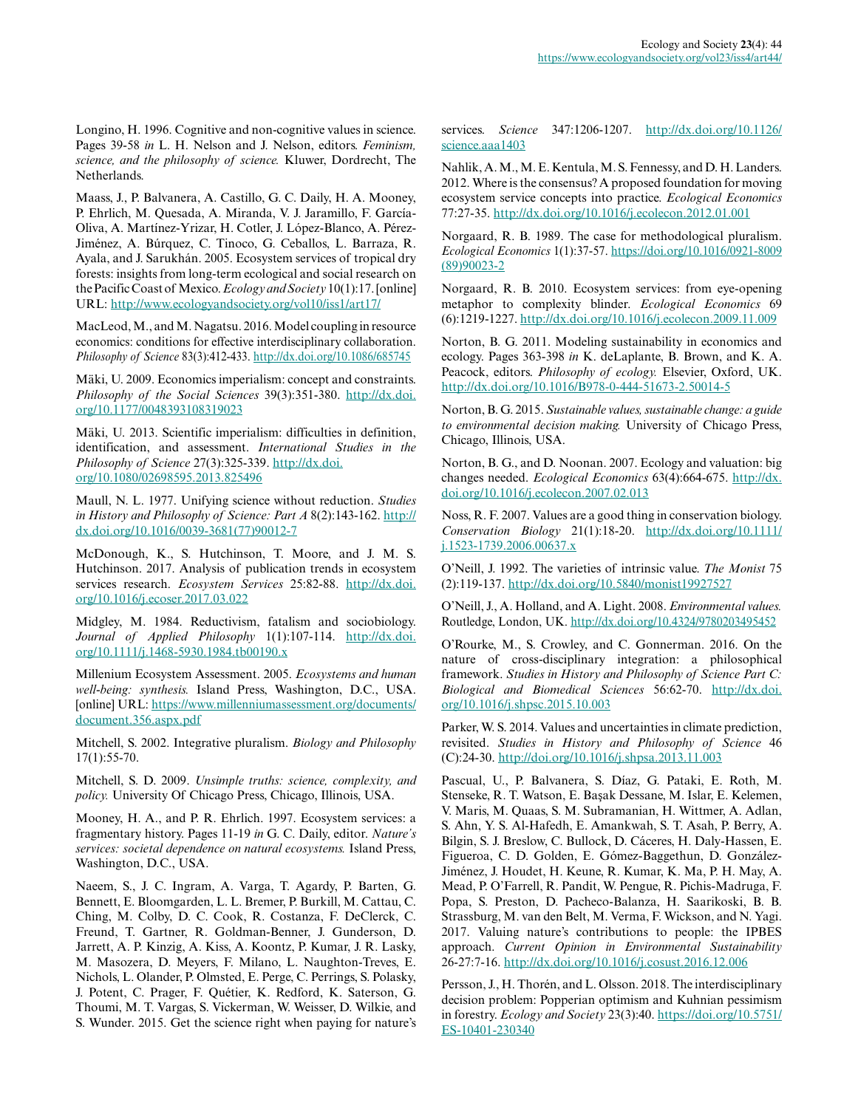Longino, H. 1996. Cognitive and non-cognitive values in science. Pages 39-58 *in* L. H. Nelson and J. Nelson, editors. *Feminism, science, and the philosophy of science.* Kluwer, Dordrecht, The Netherlands.

Maass, J., P. Balvanera, A. Castillo, G. C. Daily, H. A. Mooney, P. Ehrlich, M. Quesada, A. Miranda, V. J. Jaramillo, F. García-Oliva, A. Martínez-Yrizar, H. Cotler, J. López-Blanco, A. Pérez-Jiménez, A. Búrquez, C. Tinoco, G. Ceballos, L. Barraza, R. Ayala, and J. Sarukhán. 2005. Ecosystem services of tropical dry forests: insights from long-term ecological and social research on the Pacific Coast of Mexico. *Ecology and Society* 10(1):17. [online] URL:<http://www.ecologyandsociety.org/vol10/iss1/art17/>

MacLeod, M., and M. Nagatsu. 2016. Model coupling in resource economics: conditions for effective interdisciplinary collaboration. *Philosophy of Science* 83(3):412-433. <http://dx.doi.org/10.1086/685745>

Mäki, U. 2009. Economics imperialism: concept and constraints. *Philosophy of the Social Sciences* 39(3):351-380. [http://dx.doi.](http://dx.doi.org/10.1177/0048393108319023) [org/10.1177/0048393108319023](http://dx.doi.org/10.1177/0048393108319023)

Mäki, U. 2013. Scientific imperialism: difficulties in definition, identification, and assessment. *International Studies in the Philosophy of Science* 27(3):325-339. [http://dx.doi.](http://dx.doi.org/10.1080/02698595.2013.825496) [org/10.1080/02698595.2013.825496](http://dx.doi.org/10.1080/02698595.2013.825496)

Maull, N. L. 1977. Unifying science without reduction. *Studies in History and Philosophy of Science: Part A* 8(2):143-162. [http://](http://dx.doi.org/10.1016/0039-3681%2877%2990012-7) [dx.doi.org/10.1016/0039-3681\(77\)90012-7](http://dx.doi.org/10.1016/0039-3681%2877%2990012-7) 

McDonough, K., S. Hutchinson, T. Moore, and J. M. S. Hutchinson. 2017. Analysis of publication trends in ecosystem services research. *Ecosystem Services* 25:82-88. [http://dx.doi.](http://dx.doi.org/10.1016/j.ecoser.2017.03.022) [org/10.1016/j.ecoser.2017.03.022](http://dx.doi.org/10.1016/j.ecoser.2017.03.022)

Midgley, M. 1984. Reductivism, fatalism and sociobiology. *Journal of Applied Philosophy* 1(1):107-114. [http://dx.doi.](http://dx.doi.org/10.1111/j.1468-5930.1984.tb00190.x) [org/10.1111/j.1468-5930.1984.tb00190.x](http://dx.doi.org/10.1111/j.1468-5930.1984.tb00190.x)

Millenium Ecosystem Assessment. 2005. *Ecosystems and human well-being: synthesis.* Island Press, Washington, D.C., USA. [online] URL: [https://www.millenniumassessment.org/documents/](https://www.millenniumassessment.org/documents/document.356.aspx.pdf) [document.356.aspx.pdf](https://www.millenniumassessment.org/documents/document.356.aspx.pdf)

Mitchell, S. 2002. Integrative pluralism. *Biology and Philosophy* 17(1):55-70.

Mitchell, S. D. 2009. *Unsimple truths: science, complexity, and policy.* University Of Chicago Press, Chicago, Illinois, USA.

Mooney, H. A., and P. R. Ehrlich. 1997. Ecosystem services: a fragmentary history. Pages 11-19 *in* G. C. Daily, editor. *Nature's services: societal dependence on natural ecosystems.* Island Press, Washington, D.C., USA.

Naeem, S., J. C. Ingram, A. Varga, T. Agardy, P. Barten, G. Bennett, E. Bloomgarden, L. L. Bremer, P. Burkill, M. Cattau, C. Ching, M. Colby, D. C. Cook, R. Costanza, F. DeClerck, C. Freund, T. Gartner, R. Goldman-Benner, J. Gunderson, D. Jarrett, A. P. Kinzig, A. Kiss, A. Koontz, P. Kumar, J. R. Lasky, M. Masozera, D. Meyers, F. Milano, L. Naughton-Treves, E. Nichols, L. Olander, P. Olmsted, E. Perge, C. Perrings, S. Polasky, J. Potent, C. Prager, F. Quétier, K. Redford, K. Saterson, G. Thoumi, M. T. Vargas, S. Vickerman, W. Weisser, D. Wilkie, and S. Wunder. 2015. Get the science right when paying for nature's services. *Science* 347:1206-1207. [http://dx.doi.org/10.1126/](http://dx.doi.org/10.1126/science.aaa1403) [science.aaa1403](http://dx.doi.org/10.1126/science.aaa1403)

Nahlik, A. M., M. E. Kentula, M. S. Fennessy, and D. H. Landers. 2012. Where is the consensus? A proposed foundation for moving ecosystem service concepts into practice. *Ecological Economics* 77:27-35.<http://dx.doi.org/10.1016/j.ecolecon.2012.01.001>

Norgaard, R. B. 1989. The case for methodological pluralism. *Ecological Economics* 1(1):37-57. [https://doi.org/10.1016/0921-8009](https://doi.org/10.1016/0921-8009(89)90023-2) [\(89\)90023-2](https://doi.org/10.1016/0921-8009(89)90023-2) 

Norgaard, R. B. 2010. Ecosystem services: from eye-opening metaphor to complexity blinder. *Ecological Economics* 69 (6):1219-1227.<http://dx.doi.org/10.1016/j.ecolecon.2009.11.009>

Norton, B. G. 2011. Modeling sustainability in economics and ecology. Pages 363-398 *in* K. deLaplante, B. Brown, and K. A. Peacock, editors. *Philosophy of ecology.* Elsevier, Oxford, UK. <http://dx.doi.org/10.1016/B978-0-444-51673-2.50014-5>

Norton, B. G. 2015. *Sustainable values, sustainable change: a guide to environmental decision making.* University of Chicago Press, Chicago, Illinois, USA.

Norton, B. G., and D. Noonan. 2007. Ecology and valuation: big changes needed. *Ecological Economics* 63(4):664-675. [http://dx.](http://dx.doi.org/10.1016/j.ecolecon.2007.02.013) [doi.org/10.1016/j.ecolecon.2007.02.013](http://dx.doi.org/10.1016/j.ecolecon.2007.02.013) 

Noss, R. F. 2007. Values are a good thing in conservation biology. *Conservation Biology* 21(1):18-20. [http://dx.doi.org/10.1111/](http://dx.doi.org/10.1111/j.1523-1739.2006.00637.x) [j.1523-1739.2006.00637.x](http://dx.doi.org/10.1111/j.1523-1739.2006.00637.x)

O'Neill, J. 1992. The varieties of intrinsic value. *The Monist* 75 (2):119-137. <http://dx.doi.org/10.5840/monist19927527>

O'Neill, J., A. Holland, and A. Light. 2008. *Environmental values.* Routledge, London, UK.<http://dx.doi.org/10.4324/9780203495452>

O'Rourke, M., S. Crowley, and C. Gonnerman. 2016. On the nature of cross-disciplinary integration: a philosophical framework. *Studies in History and Philosophy of Science Part C: Biological and Biomedical Sciences* 56:62-70. [http://dx.doi.](http://dx.doi.org/10.1016/j.shpsc.2015.10.003) [org/10.1016/j.shpsc.2015.10.003](http://dx.doi.org/10.1016/j.shpsc.2015.10.003) 

Parker, W. S. 2014. Values and uncertainties in climate prediction, revisited. *Studies in History and Philosophy of Science* 46 (C):24-30. <http://doi.org/10.1016/j.shpsa.2013.11.003>

Pascual, U., P. Balvanera, S. Díaz, G. Pataki, E. Roth, M. Stenseke, R. T. Watson, E. Başak Dessane, M. Islar, E. Kelemen, V. Maris, M. Quaas, S. M. Subramanian, H. Wittmer, A. Adlan, S. Ahn, Y. S. Al-Hafedh, E. Amankwah, S. T. Asah, P. Berry, A. Bilgin, S. J. Breslow, C. Bullock, D. Cáceres, H. Daly-Hassen, E. Figueroa, C. D. Golden, E. Gómez-Baggethun, D. González-Jiménez, J. Houdet, H. Keune, R. Kumar, K. Ma, P. H. May, A. Mead, P. O'Farrell, R. Pandit, W. Pengue, R. Pichis-Madruga, F. Popa, S. Preston, D. Pacheco-Balanza, H. Saarikoski, B. B. Strassburg, M. van den Belt, M. Verma, F. Wickson, and N. Yagi. 2017. Valuing nature's contributions to people: the IPBES approach. *Current Opinion in Environmental Sustainability* 26-27:7-16. <http://dx.doi.org/10.1016/j.cosust.2016.12.006>

Persson, J., H. Thorén, and L. Olsson. 2018. The interdisciplinary decision problem: Popperian optimism and Kuhnian pessimism in forestry. *Ecology and Society* 23(3):40. [https://doi.org/10.5751/](https://doi.org/10.5751/ES-10401-230340) [ES-10401-230340](https://doi.org/10.5751/ES-10401-230340)